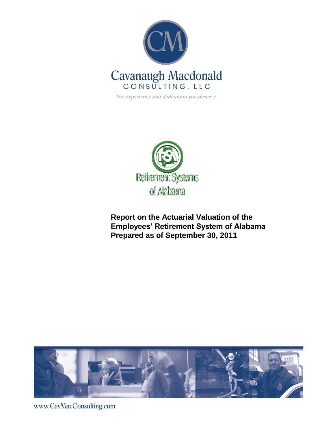

The experience and dedication you deserve



**Report on the Actuarial Valuation of the Employees' Retirement System of Alabama Prepared as of September 30, 2011**



www.CavMacConsulting.com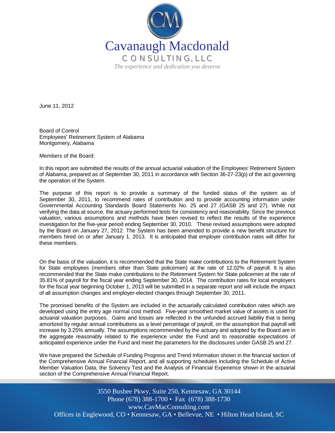

June 11, 2012

Board of Control Employees' Retirement System of Alabama Montgomery, Alabama

Members of the Board:

In this report are submitted the results of the annual actuarial valuation of the Employees' Retirement System of Alabama, prepared as of September 30, 2011 in accordance with Section 36-27-23(p) of the act governing the operation of the System.

The purpose of this report is to provide a summary of the funded status of the system as of September 30, 2011, to recommend rates of contribution and to provide accounting information under Governmental Accounting Standards Board Statements No. 25 and 27 (GASB 25 and 27). While not verifying the data at source, the actuary performed tests for consistency and reasonability. Since the previous valuation, various assumptions and methods have been revised to reflect the results of the experience investigation for the five-year period ending September 30, 2010. These revised assumptions were adopted by the Board on January 27, 2012. The System has been amended to provide a new benefit structure for members hired on or after January 1, 2013. It is anticipated that employer contribution rates will differ for these members.

On the basis of the valuation, it is recommended that the State make contributions to the Retirement System for State employees (members other than State policemen) at the rate of 12.02% of payroll. It is also recommended that the State make contributions to the Retirement System for State policemen at the rate of 35.81% of payroll for the fiscal year ending September 30, 2014. The contribution rates for local employers for the fiscal year beginning October 1, 2013 will be submitted in a separate report and will include the impact of all assumption changes and employer-elected changes through September 30, 2011.

The promised benefits of the System are included in the actuarially calculated contribution rates which are developed using the entry age normal cost method. Five-year smoothed market value of assets is used for actuarial valuation purposes. Gains and losses are reflected in the unfunded accrued liability that is being amortized by regular annual contributions as a level percentage of payroll, on the assumption that payroll will increase by 3.25% annually. The assumptions recommended by the actuary and adopted by the Board are in the aggregate reasonably related to the experience under the Fund and to reasonable expectations of anticipated experience under the Fund and meet the parameters for the disclosures under GASB 25 and 27.

We have prepared the Schedule of Funding Progress and Trend Information shown in the financial section of the Comprehensive Annual Financial Report, and all supporting schedules including the Schedule of Active Member Valuation Data, the Solvency Test and the Analysis of Financial Experience shown in the actuarial section of the Comprehensive Annual Financial Report.

Offices in Englewood, CO • Kennesaw, GA • Bellevue, NE • Hilton Head Island, SC 3550 Busbee Pkwy, Suite 250, Kennesaw, GA 30144 Phone (678) 388-1700 • Fax (678) 388-1730 www.CavMacConsulting.com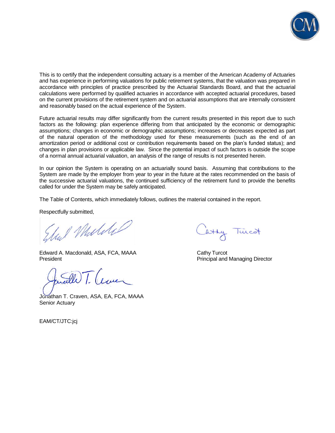

This is to certify that the independent consulting actuary is a member of the American Academy of Actuaries and has experience in performing valuations for public retirement systems, that the valuation was prepared in accordance with principles of practice prescribed by the Actuarial Standards Board, and that the actuarial calculations were performed by qualified actuaries in accordance with accepted actuarial procedures, based on the current provisions of the retirement system and on actuarial assumptions that are internally consistent and reasonably based on the actual experience of the System.

Future actuarial results may differ significantly from the current results presented in this report due to such factors as the following: plan experience differing from that anticipated by the economic or demographic assumptions; changes in economic or demographic assumptions; increases or decreases expected as part of the natural operation of the methodology used for these measurements (such as the end of an amortization period or additional cost or contribution requirements based on the plan's funded status); and changes in plan provisions or applicable law. Since the potential impact of such factors is outside the scope of a normal annual actuarial valuation, an analysis of the range of results is not presented herein.

In our opinion the System is operating on an actuarially sound basis. Assuming that contributions to the System are made by the employer from year to year in the future at the rates recommended on the basis of the successive actuarial valuations, the continued sufficiency of the retirement fund to provide the benefits called for under the System may be safely anticipated.

The Table of Contents, which immediately follows, outlines the material contained in the report.

Respectfully submitted,

al Muldil

Edward A. Macdonald, ASA, FCA, MAAA Cathy Turcot<br>President President Cathy Turcot

 $\mathscr{R}$ 

Jonathan T. Craven, ASA, EA, FCA, MAAA Senior Actuary

EAM/CT/JTC:jcj

atty Turcot

Principal and Managing Director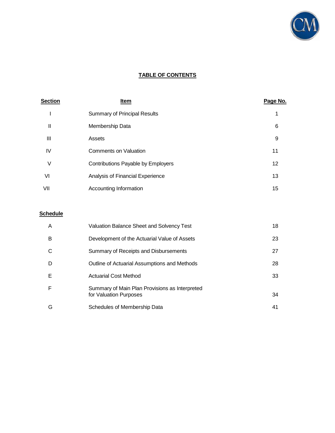

# **TABLE OF CONTENTS**

| <b>Section</b> | <u>Item</u>                         | Page No. |
|----------------|-------------------------------------|----------|
|                | <b>Summary of Principal Results</b> |          |
| Ш              | Membership Data                     | 6        |
| Ш              | Assets                              | 9        |
| IV             | <b>Comments on Valuation</b>        | 11       |
| ٧              | Contributions Payable by Employers  | 12       |
| VI             | Analysis of Financial Experience    | 13       |
| VII            | Accounting Information              | 15       |

# **Schedule**

| A | <b>Valuation Balance Sheet and Solvency Test</b>                         | 18 |
|---|--------------------------------------------------------------------------|----|
| B | Development of the Actuarial Value of Assets                             | 23 |
| C | Summary of Receipts and Disbursements                                    | 27 |
| D | Outline of Actuarial Assumptions and Methods                             | 28 |
| Е | <b>Actuarial Cost Method</b>                                             | 33 |
| F | Summary of Main Plan Provisions as Interpreted<br>for Valuation Purposes | 34 |
| G | Schedules of Membership Data                                             | 41 |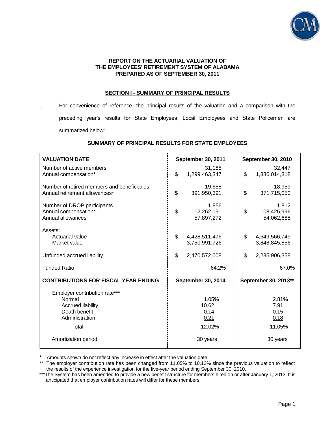

#### **REPORT ON THE ACTUARIAL VALUATION OF THE EMPLOYEES' RETIREMENT SYSTEM OF ALABAMA PREPARED AS OF SEPTEMBER 30, 2011**

## **SECTION I - SUMMARY OF PRINCIPAL RESULTS**

1. For convenience of reference, the principal results of the valuation and a comparison with the preceding year's results for State Employees, Local Employees and State Policemen are summarized below:

| <b>VALUATION DATE</b>                                                                                                                  | September 30, 2011                                   | September 30, 2010                                  |  |
|----------------------------------------------------------------------------------------------------------------------------------------|------------------------------------------------------|-----------------------------------------------------|--|
| Number of active members<br>Annual compensation*                                                                                       | 31,185<br>\$<br>1,299,463,347                        | 32.447<br>\$<br>1,386,014,318                       |  |
| Number of retired members and beneficiaries<br>Annual retirement allowances*                                                           | 19,658<br>\$<br>391,950,391                          | 18,959<br>\$<br>371,715,050                         |  |
| Number of DROP participants<br>Annual compensation*<br>Annual allowances                                                               | 1,856<br>\$<br>112,262,151<br>57,897,272             | 1,812<br>\$<br>108,425,996<br>54,062,685            |  |
| Assets:<br>Actuarial value<br>Market value                                                                                             | \$<br>4,428,511,476<br>3,750,991,726                 | \$<br>4,649,566,749<br>3,848,845,856                |  |
| Unfunded accrued liability                                                                                                             | \$<br>2,470,572,008                                  | \$<br>2,285,906,358                                 |  |
| <b>Funded Ratio</b>                                                                                                                    | 64.2%                                                | 67.0%                                               |  |
| <b>CONTRIBUTIONS FOR FISCAL YEAR ENDING</b>                                                                                            | September 30, 2014                                   | September 30, 2013**                                |  |
| Employer contribution rate***<br>Normal<br><b>Accrued liability</b><br>Death benefit<br>Administration<br>Total<br>Amortization period | 1.05%<br>10.62<br>0.14<br>0.21<br>12.02%<br>30 years | 2.81%<br>7.91<br>0.15<br>0.18<br>11.05%<br>30 years |  |

## **SUMMARY OF PRINCIPAL RESULTS FOR STATE EMPLOYEES**

\* \* Amounts shown do not reflect any increase in effect after the valuation date.<br>\*\* The employer contribution rate has been changed from 11.05% to 10.12%

The employer contribution rate has been changed from 11.05% to 10.12% since the previous valuation to reflect the results of the experience investigation for the five-year period ending September 30, 2010.

\*\*\*The System has been amended to provide a new benefit structure for members hired on or after January 1, 2013. It is anticipated that employer contribution rates will differ for these members.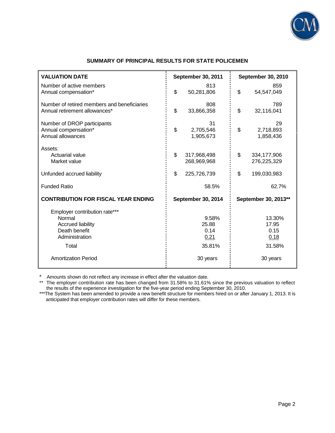

# **SUMMARY OF PRINCIPAL RESULTS FOR STATE POLICEMEN**

| <b>VALUATION DATE</b>                                                                                                                         | September 30, 2011                                   | September 30, 2010                                    |
|-----------------------------------------------------------------------------------------------------------------------------------------------|------------------------------------------------------|-------------------------------------------------------|
| Number of active members<br>Annual compensation*                                                                                              | 813<br>\$<br>50,281,806                              | 859<br>\$<br>54,547,049                               |
| Number of retired members and beneficiaries<br>Annual retirement allowances*                                                                  | 808<br>\$<br>33,866,358                              | 789<br>\$<br>32,116,041                               |
| Number of DROP participants<br>Annual compensation*<br>Annual allowances                                                                      | 31<br>\$<br>2,705,546<br>1,905,673                   | 29<br>\$<br>2,718,893<br>1,858,436                    |
| Assets:<br>Actuarial value<br>Market value                                                                                                    | \$<br>317,968,498<br>268,969,968                     | \$<br>334,177,906<br>276,225,329                      |
| Unfunded accrued liability                                                                                                                    | \$<br>225,726,739                                    | \$<br>199,030,983                                     |
| <b>Funded Ratio</b>                                                                                                                           | 58.5%                                                | 62.7%                                                 |
| <b>CONTRIBUTION FOR FISCAL YEAR ENDING</b>                                                                                                    | September 30, 2014                                   | September 30, 2013**                                  |
| Employer contribution rate***<br>Normal<br><b>Accrued liability</b><br>Death benefit<br>Administration<br>Total<br><b>Amortization Period</b> | 9.58%<br>25.88<br>0.14<br>0.21<br>35.81%<br>30 years | 13.30%<br>17.95<br>0.15<br>0.18<br>31.58%<br>30 years |

\* Amounts shown do not reflect any increase in effect after the valuation date.

\*\* The employer contribution rate has been changed from 31.58% to 31.61% since the previous valuation to reflect the results of the experience investigation for the five-year period ending September 30, 2010.

\*\*\*The System has been amended to provide a new benefit structure for members hired on or after January 1, 2013. It is anticipated that employer contribution rates will differ for these members.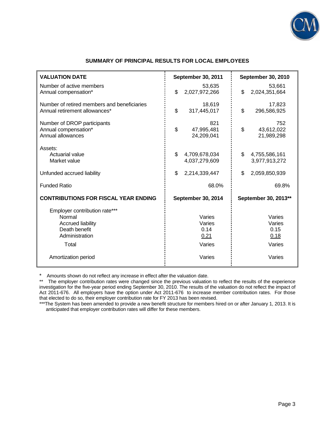

| <b>VALUATION DATE</b>                                                                                           | <b>September 30, 2011</b>                  | <b>September 30, 2010</b>                  |  |
|-----------------------------------------------------------------------------------------------------------------|--------------------------------------------|--------------------------------------------|--|
| Number of active members<br>Annual compensation*                                                                | 53,635<br>\$<br>2,027,972,266              | 53,661<br>\$<br>2,024,351,664              |  |
| Number of retired members and beneficiaries<br>Annual retirement allowances*                                    | 18,619<br>\$<br>317,445,017                | 17,823<br>\$<br>296,586,925                |  |
| Number of DROP participants<br>Annual compensation*<br>Annual allowances                                        | 821<br>\$<br>47,995,481<br>24,209,041      | 752<br>\$<br>43,612,022<br>21,989,298      |  |
| Assets:<br>Actuarial value<br>Market value                                                                      | \$<br>4,709,678,034<br>4,037,279,609       | \$<br>4,755,586,161<br>3,977,913,272       |  |
| Unfunded accrued liability                                                                                      | \$<br>2,214,339,447                        | \$<br>2,059,850,939                        |  |
| <b>Funded Ratio</b>                                                                                             | 68.0%                                      | 69.8%                                      |  |
| <b>CONTRIBUTIONS FOR FISCAL YEAR ENDING</b>                                                                     | September 30, 2014                         | September 30, 2013**                       |  |
| Employer contribution rate***<br>Normal<br><b>Accrued liability</b><br>Death benefit<br>Administration<br>Total | Varies<br>Varies<br>0.14<br>0.21<br>Varies | Varies<br>Varies<br>0.15<br>0.18<br>Varies |  |
| Amortization period                                                                                             | Varies                                     | Varies                                     |  |
|                                                                                                                 |                                            |                                            |  |

## **SUMMARY OF PRINCIPAL RESULTS FOR LOCAL EMPLOYEES**

Amounts shown do not reflect any increase in effect after the valuation date.

\* The employer contribution rates were changed since the previous valuation to reflect the results of the experience investigation for the five-year period ending September 30, 2010. The results of the valuation do not reflect the impact of Act 2011-676. All employers have the option under Act 2011-676 to increase member contribution rates. For those that elected to do so, their employer contribution rate for FY 2013 has been revised.

\*\*\*The System has been amended to provide a new benefit structure for members hired on or after January 1, 2013. It is anticipated that employer contribution rates will differ for these members.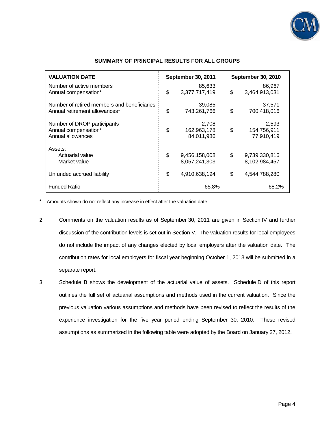

| <b>VALUATION DATE</b>                                                        | September 30, 2011                       | September 30, 2010                       |
|------------------------------------------------------------------------------|------------------------------------------|------------------------------------------|
| Number of active members<br>Annual compensation*                             | \$<br>85,633<br>3,377,717,419            | \$<br>86,967<br>3,464,913,031            |
| Number of retired members and beneficiaries<br>Annual retirement allowances* | \$<br>39,085<br>743,261,766              | \$<br>37,571<br>700,418,016              |
| Number of DROP participants<br>Annual compensation*<br>Annual allowances     | \$<br>2,708<br>162,963,178<br>84,011,986 | \$<br>2,593<br>154,756,911<br>77,910,419 |
| Assets:<br>Actuarial value<br>Market value                                   | \$<br>9,456,158,008<br>8,057,241,303     | \$<br>9,739,330,816<br>8,102,984,457     |
| Unfunded accrued liability                                                   | \$<br>4,910,638,194                      | \$<br>4,544,788,280                      |
| <b>Funded Ratio</b>                                                          | 65.8%                                    | 68.2%                                    |

## **SUMMARY OF PRINCIPAL RESULTS FOR ALL GROUPS**

\* Amounts shown do not reflect any increase in effect after the valuation date.

- 2. Comments on the valuation results as of September 30, 2011 are given in Section IV and further discussion of the contribution levels is set out in Section V. The valuation results for local employees do not include the impact of any changes elected by local employers after the valuation date. The contribution rates for local employers for fiscal year beginning October 1, 2013 will be submitted in a separate report.
- 3. Schedule B shows the development of the actuarial value of assets. Schedule D of this report outlines the full set of actuarial assumptions and methods used in the current valuation. Since the previous valuation various assumptions and methods have been revised to reflect the results of the experience investigation for the five year period ending September 30, 2010. These revised assumptions as summarized in the following table were adopted by the Board on January 27, 2012.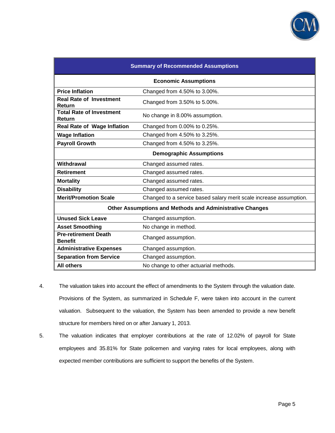

| <b>Summary of Recommended Assumptions</b>              |                                                                    |  |  |  |
|--------------------------------------------------------|--------------------------------------------------------------------|--|--|--|
| <b>Economic Assumptions</b>                            |                                                                    |  |  |  |
| <b>Price Inflation</b><br>Changed from 4.50% to 3.00%. |                                                                    |  |  |  |
| <b>Real Rate of Investment</b><br>Return               | Changed from 3.50% to 5.00%.                                       |  |  |  |
| <b>Total Rate of Investment</b><br>Return              | No change in 8.00% assumption.                                     |  |  |  |
| <b>Real Rate of Wage Inflation</b>                     | Changed from 0.00% to 0.25%.                                       |  |  |  |
| <b>Wage Inflation</b>                                  | Changed from 4.50% to 3.25%.                                       |  |  |  |
| <b>Payroll Growth</b>                                  | Changed from 4.50% to 3.25%.                                       |  |  |  |
| <b>Demographic Assumptions</b>                         |                                                                    |  |  |  |
| Withdrawal<br>Changed assumed rates.                   |                                                                    |  |  |  |
| <b>Retirement</b>                                      | Changed assumed rates.                                             |  |  |  |
| <b>Mortality</b>                                       | Changed assumed rates.                                             |  |  |  |
| <b>Disability</b>                                      | Changed assumed rates.                                             |  |  |  |
| <b>Merit/Promotion Scale</b>                           | Changed to a service based salary merit scale increase assumption. |  |  |  |
|                                                        | <b>Other Assumptions and Methods and Administrative Changes</b>    |  |  |  |
| <b>Unused Sick Leave</b>                               | Changed assumption.                                                |  |  |  |
| <b>Asset Smoothing</b>                                 | No change in method.                                               |  |  |  |
| <b>Pre-retirement Death</b><br><b>Benefit</b>          | Changed assumption.                                                |  |  |  |
| <b>Administrative Expenses</b>                         | Changed assumption.                                                |  |  |  |
| <b>Separation from Service</b>                         | Changed assumption.                                                |  |  |  |
| <b>All others</b>                                      | No change to other actuarial methods.                              |  |  |  |

- 4. The valuation takes into account the effect of amendments to the System through the valuation date. Provisions of the System, as summarized in Schedule F, were taken into account in the current valuation. Subsequent to the valuation, the System has been amended to provide a new benefit structure for members hired on or after January 1, 2013.
- 5. The valuation indicates that employer contributions at the rate of 12.02% of payroll for State employees and 35.81% for State policemen and varying rates for local employees, along with expected member contributions are sufficient to support the benefits of the System.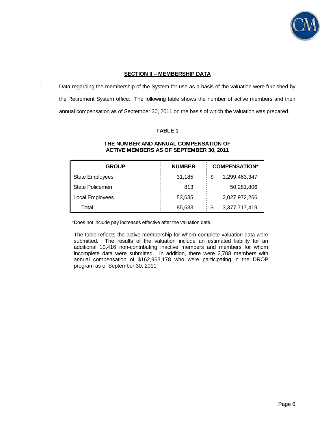

## **SECTION II – MEMBERSHIP DATA**

1. Data regarding the membership of the System for use as a basis of the valuation were furnished by the Retirement System office. The following table shows the number of active members and their annual compensation as of September 30, 2011 on the basis of which the valuation was prepared.

## **TABLE 1**

| <b>GROUP</b>           | <b>NUMBER</b> | <b>COMPENSATION*</b> |
|------------------------|---------------|----------------------|
| <b>State Employees</b> | 31,185        | 1,299,463,347<br>S   |
| <b>State Policemen</b> | 813           | 50,281,806           |
| Local Employees        | 53,635        | 2,027,972,266        |
| Total                  | 85,633        | 3,377,717,419<br>S   |

#### **THE NUMBER AND ANNUAL COMPENSATION OF ACTIVE MEMBERS AS OF SEPTEMBER 30, 2011**

\*Does not include pay increases effective after the valuation date.

The table reflects the active membership for whom complete valuation data were submitted. The results of the valuation include an estimated liability for an additional 10,416 non-contributing inactive members and members for whom incomplete data were submitted. In addition, there were 2,708 members with annual compensation of \$162,963,178 who were participating in the DROP program as of September 30, 2011.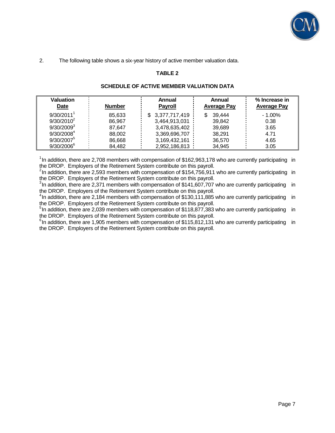

2. The following table shows a six-year history of active member valuation data.

# **TABLE 2**

| <b>Valuation</b>       |               | Annual          | Annual             | % Increase in      |
|------------------------|---------------|-----------------|--------------------|--------------------|
| <b>Date</b>            | <b>Number</b> | <b>Payroll</b>  | <b>Average Pay</b> | <b>Average Pay</b> |
| 9/30/2011              | 85.633        | \$3,377,717,419 | 39,444<br>S        | $-1.00\%$          |
| $9/30/2010^2$          | 86.967        | 3,464,913,031   | 39.842             | 0.38               |
| $9/30/2009^3$          | 87.647        | 3,478,635,402   | 39.689             | 3.65               |
| 9/30/2008 <sup>4</sup> | 88.002        | 3,369,696,707   | 38.291             | 4.71               |
| 9/30/2007              | 86,668        | 3,169,432,161   | 36,570             | 4.65               |
| $9/30/2006^{6}$        | 84,482        | 2,952,186,813   | 34,945             | 3.05               |

## **SCHEDULE OF ACTIVE MEMBER VALUATION DATA**

 $1$ In addition, there are 2,708 members with compensation of \$162,963,178 who are currently participating in the DROP. Employers of the Retirement System contribute on this payroll.

 $2$ In addition, there are 2,593 members with compensation of \$154,756,911 who are currently participating in the DROP. Employers of the Retirement System contribute on this payroll.

 $3$ In addition, there are 2,371 members with compensation of \$141,607,707 who are currently participating in the DROP. Employers of the Retirement System contribute on this payroll.

<sup>4</sup>In addition, there are 2,184 members with compensation of \$130,111,885 who are currently participating in the DROP. Employers of the Retirement System contribute on this payroll.

<sup>51</sup>In addition, there are 2,039 members with compensation of \$118,877,383 who are currently participating in the DROP. Employers of the Retirement System contribute on this payroll.

 $6$ In addition, there are 1,905 members with compensation of \$115,812,131 who are currently participating in the DROP. Employers of the Retirement System contribute on this payroll.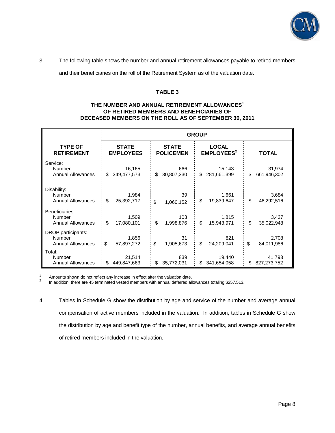

3. The following table shows the number and annual retirement allowances payable to retired members

and their beneficiaries on the roll of the Retirement System as of the valuation date.

## **TABLE 3**

## **THE NUMBER AND ANNUAL RETIREMENT ALLOWANCES<sup>1</sup> OF RETIRED MEMBERS AND BENEFICIARIES OF DECEASED MEMBERS ON THE ROLL AS OF SEPTEMBER 30, 2011**

|                          | <b>GROUP</b>     |                  |                              |              |
|--------------------------|------------------|------------------|------------------------------|--------------|
| <b>TYPE OF</b>           | <b>STATE</b>     | <b>STATE</b>     | <b>LOCAL</b>                 | <b>TOTAL</b> |
| <b>RETIREMENT</b>        | <b>EMPLOYEES</b> | <b>POLICEMEN</b> | <b>EMPLOYEES<sup>2</sup></b> |              |
| Service:                 | 16,165           | 666              | 15,143                       | 31,974       |
| Number                   | \$               | \$               | \$                           | \$           |
| <b>Annual Allowances</b> | 349,477,573      | 30,807,330       | 281,661,399                  | 661,946,302  |
| Disability:              | 1.984            | 39               | 1,661                        | 3,684        |
| Number                   | \$               | \$               | \$                           | \$           |
| <b>Annual Allowances</b> | 25,392,717       | 1,060,152        | 19,839,647                   | 46,292,516   |
| Beneficiaries:           | 1,509            | 103              | 1,815                        | 3,427        |
| Number                   | \$               | \$               | \$                           | \$           |
| <b>Annual Allowances</b> | 17,080,101       | 1,998,876        | 15,943,971                   | 35,022,948   |
| DROP participants:       | 1,856            | 31               | 821                          | 2,708        |
| Number                   | \$               | \$               | \$                           | \$           |
| <b>Annual Allowances</b> | 57,897,272       | 1,905,673        | 24,209,041                   | 84,011,986   |
| Total:                   | 21,514           | 839              | 19,440                       | 41,793       |
| <b>Number</b>            | \$               | 35,772,031       | \$                           | \$           |
| <b>Annual Allowances</b> | 449,847,663      | \$               | 341,654,058                  | 827,273,752  |

<sup>1</sup> Amounts shown do not reflect any increase in effect after the valuation date.

In addition, there are 45 terminated vested members with annual deferred allowances totaling \$257,513.

4. Tables in Schedule G show the distribution by age and service of the number and average annual compensation of active members included in the valuation. In addition, tables in Schedule G show the distribution by age and benefit type of the number, annual benefits, and average annual benefits of retired members included in the valuation.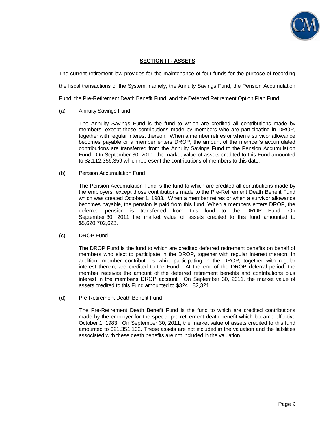

## **SECTION III - ASSETS**

1. The current retirement law provides for the maintenance of four funds for the purpose of recording

the fiscal transactions of the System, namely, the Annuity Savings Fund, the Pension Accumulation

Fund, the Pre-Retirement Death Benefit Fund, and the Deferred Retirement Option Plan Fund.

#### (a) Annuity Savings Fund

 The Annuity Savings Fund is the fund to which are credited all contributions made by members, except those contributions made by members who are participating in DROP, together with regular interest thereon. When a member retires or when a survivor allowance becomes payable or a member enters DROP, the amount of the member's accumulated contributions are transferred from the Annuity Savings Fund to the Pension Accumulation Fund. On September 30, 2011, the market value of assets credited to this Fund amounted to \$2,112,356,359 which represent the contributions of members to this date.

(b) Pension Accumulation Fund

 The Pension Accumulation Fund is the fund to which are credited all contributions made by the employers, except those contributions made to the Pre-Retirement Death Benefit Fund which was created October 1, 1983. When a member retires or when a survivor allowance becomes payable, the pension is paid from this fund. When a members enters DROP, the deferred pension is transferred from this fund to the DROP Fund. On September 30, 2011 the market value of assets credited to this fund amounted to \$5,620,702,623.

#### (c) DROP Fund

 The DROP Fund is the fund to which are credited deferred retirement benefits on behalf of members who elect to participate in the DROP, together with regular interest thereon. In addition, member contributions while participating in the DROP, together with regular interest therein, are credited to the Fund. At the end of the DROP deferral period, the member receives the amount of the deferred retirement benefits and contributions plus interest in the member's DROP account. On September 30, 2011, the market value of assets credited to this Fund amounted to \$324,182,321.

(d) Pre-Retirement Death Benefit Fund

 The Pre-Retirement Death Benefit Fund is the fund to which are credited contributions made by the employer for the special pre-retirement death benefit which became effective October 1, 1983. On September 30, 2011, the market value of assets credited to this fund amounted to \$21,351,102. These assets are not included in the valuation and the liabilities associated with these death benefits are not included in the valuation.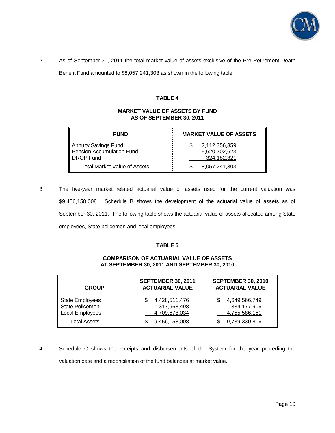

2. As of September 30, 2011 the total market value of assets exclusive of the Pre-Retirement Death

Benefit Fund amounted to \$8,057,241,303 as shown in the following table.

## **TABLE 4**

## **MARKET VALUE OF ASSETS BY FUND AS OF SEPTEMBER 30, 2011**

| <b>FUND</b>                                                    | <b>MARKET VALUE OF ASSETS</b>                 |
|----------------------------------------------------------------|-----------------------------------------------|
| Annuity Savings Fund<br>Pension Accumulation Fund<br>DROP Fund | 2,112,356,359<br>5,620,702,623<br>324,182,321 |
| <b>Total Market Value of Assets</b>                            | 8,057,241,303                                 |

3. The five-year market related actuarial value of assets used for the current valuation was \$9,456,158,008. Schedule B shows the development of the actuarial value of assets as of September 30, 2011. The following table shows the actuarial value of assets allocated among State employees, State policemen and local employees.

#### **TABLE 5**

#### **COMPARISON OF ACTUARIAL VALUE OF ASSETS AT SEPTEMBER 30, 2011 AND SEPTEMBER 30, 2010**

| <b>GROUP</b>                                                 | <b>SEPTEMBER 30, 2011</b><br><b>ACTUARIAL VALUE</b> | <b>SEPTEMBER 30, 2010</b><br><b>ACTUARIAL VALUE</b> |
|--------------------------------------------------------------|-----------------------------------------------------|-----------------------------------------------------|
| <b>State Employees</b><br>State Policemen<br>Local Employees | 4,428,511,476<br>317,968,498<br>4,709,678,034       | 4,649,566,749<br>334,177,906<br>4,755,586,161       |
| <b>Total Assets</b>                                          | 9,456,158,008                                       | 9,739,330,816                                       |

4. Schedule C shows the receipts and disbursements of the System for the year preceding the valuation date and a reconciliation of the fund balances at market value.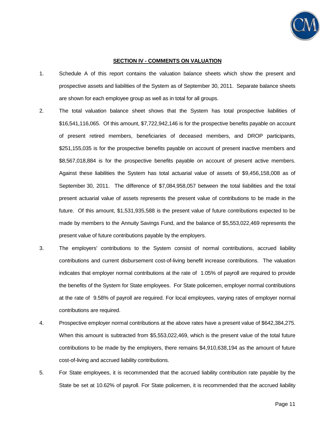

#### **SECTION IV - COMMENTS ON VALUATION**

- 1. Schedule A of this report contains the valuation balance sheets which show the present and prospective assets and liabilities of the System as of September 30, 2011. Separate balance sheets are shown for each employee group as well as in total for all groups.
- 2. The total valuation balance sheet shows that the System has total prospective liabilities of \$16,541,116,065. Of this amount, \$7,722,942,146 is for the prospective benefits payable on account of present retired members, beneficiaries of deceased members, and DROP participants, \$251,155,035 is for the prospective benefits payable on account of present inactive members and \$8,567,018,884 is for the prospective benefits payable on account of present active members. Against these liabilities the System has total actuarial value of assets of \$9,456,158,008 as of September 30, 2011. The difference of \$7,084,958,057 between the total liabilities and the total present actuarial value of assets represents the present value of contributions to be made in the future. Of this amount, \$1,531,935,588 is the present value of future contributions expected to be made by members to the Annuity Savings Fund, and the balance of \$5,553,022,469 represents the present value of future contributions payable by the employers.
- 3. The employers' contributions to the System consist of normal contributions, accrued liability contributions and current disbursement cost-of-living benefit increase contributions. The valuation indicates that employer normal contributions at the rate of 1.05% of payroll are required to provide the benefits of the System for State employees. For State policemen, employer normal contributions at the rate of 9.58% of payroll are required. For local employees, varying rates of employer normal contributions are required.
- 4. Prospective employer normal contributions at the above rates have a present value of \$642,384,275. When this amount is subtracted from \$5,553,022,469, which is the present value of the total future contributions to be made by the employers, there remains \$4,910,638,194 as the amount of future cost-of-living and accrued liability contributions.
- 5. For State employees, it is recommended that the accrued liability contribution rate payable by the State be set at 10.62% of payroll. For State policemen, it is recommended that the accrued liability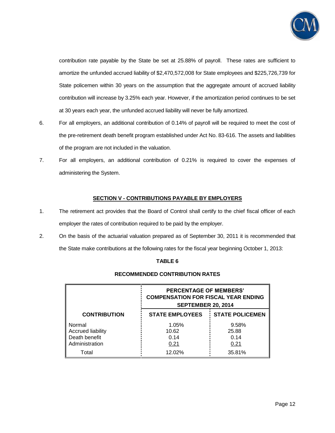

contribution rate payable by the State be set at 25.88% of payroll. These rates are sufficient to amortize the unfunded accrued liability of \$2,470,572,008 for State employees and \$225,726,739 for State policemen within 30 years on the assumption that the aggregate amount of accrued liability contribution will increase by 3.25% each year. However, if the amortization period continues to be set at 30 years each year, the unfunded accrued liability will never be fully amortized.

- 6. For all employers, an additional contribution of 0.14% of payroll will be required to meet the cost of the pre-retirement death benefit program established under Act No. 83-616. The assets and liabilities of the program are not included in the valuation.
- 7. For all employers, an additional contribution of 0.21% is required to cover the expenses of administering the System.

## **SECTION V - CONTRIBUTIONS PAYABLE BY EMPLOYERS**

- 1. The retirement act provides that the Board of Control shall certify to the chief fiscal officer of each employer the rates of contribution required to be paid by the employer.
- 2. On the basis of the actuarial valuation prepared as of September 30, 2011 it is recommended that the State make contributions at the following rates for the fiscal year beginning October 1, 2013:

## **TABLE 6**

|                                                                       | <b>PERCENTAGE OF MEMBERS'</b><br><b>COMPENSATION FOR FISCAL YEAR ENDING</b><br><b>SEPTEMBER 20, 2014</b> |                                |  |  |  |
|-----------------------------------------------------------------------|----------------------------------------------------------------------------------------------------------|--------------------------------|--|--|--|
| <b>CONTRIBUTION</b>                                                   | <b>STATE EMPLOYEES</b>                                                                                   | <b>STATE POLICEMEN</b>         |  |  |  |
| Normal<br><b>Accrued liability</b><br>Death benefit<br>Administration | 1.05%<br>10.62<br>0.14<br>0.21                                                                           | 9.58%<br>25.88<br>0.14<br>0.21 |  |  |  |
| Total                                                                 | 12.02%                                                                                                   | 35.81%                         |  |  |  |

#### **RECOMMENDED CONTRIBUTION RATES**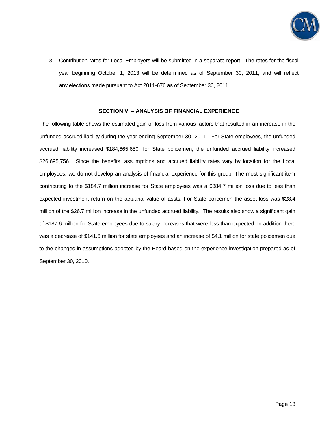

3. Contribution rates for Local Employers will be submitted in a separate report. The rates for the fiscal year beginning October 1, 2013 will be determined as of September 30, 2011, and will reflect any elections made pursuant to Act 2011-676 as of September 30, 2011.

#### **SECTION VI – ANALYSIS OF FINANCIAL EXPERIENCE**

The following table shows the estimated gain or loss from various factors that resulted in an increase in the unfunded accrued liability during the year ending September 30, 2011. For State employees, the unfunded accrued liability increased \$184,665,650: for State policemen, the unfunded accrued liability increased \$26,695,756. Since the benefits, assumptions and accrued liability rates vary by location for the Local employees, we do not develop an analysis of financial experience for this group. The most significant item contributing to the \$184.7 million increase for State employees was a \$384.7 million loss due to less than expected investment return on the actuarial value of assts. For State policemen the asset loss was \$28.4 million of the \$26.7 million increase in the unfunded accrued liability. The results also show a significant gain of \$187.6 million for State employees due to salary increases that were less than expected. In addition there was a decrease of \$141.6 million for state employees and an increase of \$4.1 million for state policemen due to the changes in assumptions adopted by the Board based on the experience investigation prepared as of September 30, 2010.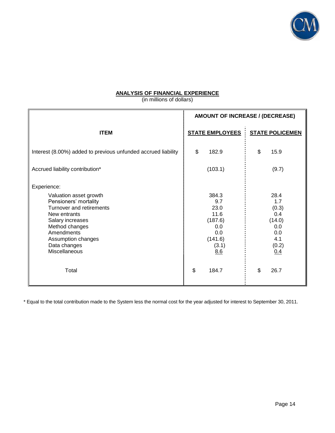

## **ANALYSIS OF FINANCIAL EXPERIENCE**

(in millions of dollars)

|                                                                                                                                                                                                                       | AMOUNT OF INCREASE / (DECREASE)                                                  |                                                                            |
|-----------------------------------------------------------------------------------------------------------------------------------------------------------------------------------------------------------------------|----------------------------------------------------------------------------------|----------------------------------------------------------------------------|
| <b>ITEM</b>                                                                                                                                                                                                           | <b>STATE EMPLOYEES</b>                                                           | <b>STATE POLICEMEN</b>                                                     |
| Interest (8.00%) added to previous unfunded accrued liability                                                                                                                                                         | \$<br>182.9                                                                      | \$<br>15.9                                                                 |
| Accrued liability contribution*                                                                                                                                                                                       | (103.1)                                                                          | (9.7)                                                                      |
| Experience:<br>Valuation asset growth<br>Pensioners' mortality<br>Turnover and retirements<br>New entrants<br>Salary increases<br>Method changes<br>Amendments<br>Assumption changes<br>Data changes<br>Miscellaneous | 384.3<br>9.7<br>23.0<br>11.6<br>(187.6)<br>0.0<br>0.0<br>(141.6)<br>(3.1)<br>8.6 | 28.4<br>1.7<br>(0.3)<br>0.4<br>(14.0)<br>0.0<br>0.0<br>4.1<br>(0.2)<br>0.4 |
| Total                                                                                                                                                                                                                 | \$<br>184.7                                                                      | \$<br>26.7                                                                 |

\* Equal to the total contribution made to the System less the normal cost for the year adjusted for interest to September 30, 2011.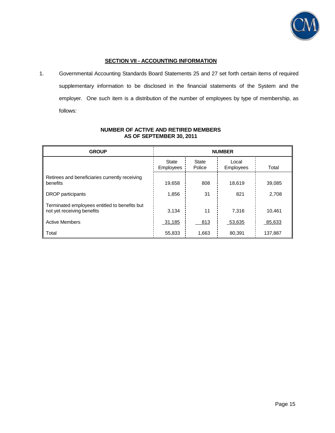

## **SECTION VII - ACCOUNTING INFORMATION**

1. Governmental Accounting Standards Board Statements 25 and 27 set forth certain items of required supplementary information to be disclosed in the financial statements of the System and the employer. One such item is a distribution of the number of employees by type of membership, as follows:

| <b>GROUP</b>                                                                | <b>NUMBER</b>             |                        |                           |         |  |
|-----------------------------------------------------------------------------|---------------------------|------------------------|---------------------------|---------|--|
|                                                                             | <b>State</b><br>Employees | <b>State</b><br>Police | Local<br><b>Employees</b> | Total   |  |
| Retirees and beneficiaries currently receiving<br>benefits                  | 19,658                    | 808                    | 18,619                    | 39,085  |  |
| DROP participants                                                           | 1,856                     | 31                     | 821                       | 2,708   |  |
| Terminated employees entitled to benefits but<br>not yet receiving benefits | 3,134                     | 11                     | 7.316                     | 10.461  |  |
| <b>Active Members</b>                                                       | 31,185                    | 813                    | 53,635                    | 85,633  |  |
| Total                                                                       | 55,833                    | 1,663                  | 80,391                    | 137,887 |  |

## **NUMBER OF ACTIVE AND RETIRED MEMBERS AS OF SEPTEMBER 30, 2011**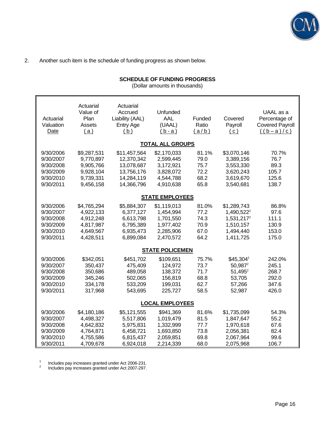

## 2. Another such item is the schedule of funding progress as shown below.

# **SCHEDULE OF FUNDING PROGRESS**

(Dollar amounts in thousands)

| Actuarial<br>Valuation<br>Date                                             | Actuarial<br>Value of<br>Plan<br>Assets<br>(a)                               | Actuarial<br>Accrued<br>Liability (AAL)<br><b>Entry Age</b><br>(b)                 | Unfunded<br>AAL<br>(UAAL)<br>$(b-a)$                                         | Funded<br>Ratio<br>(a/b)                      | Covered<br>Payroll<br>(c)                                                                              | UAAL as a<br>Percentage of<br><b>Covered Payroll</b><br>$((b-a)/c)$ |
|----------------------------------------------------------------------------|------------------------------------------------------------------------------|------------------------------------------------------------------------------------|------------------------------------------------------------------------------|-----------------------------------------------|--------------------------------------------------------------------------------------------------------|---------------------------------------------------------------------|
|                                                                            |                                                                              |                                                                                    | <b>TOTAL ALL GROUPS</b>                                                      |                                               |                                                                                                        |                                                                     |
| 9/30/2006<br>9/30/2007<br>9/30/2008<br>9/30/2009<br>9/30/2010<br>9/30/2011 | \$9,287,531<br>9,770,897<br>9,905,766<br>9,928,104<br>9,739,331<br>9,456,158 | \$11,457,564<br>12,370,342<br>13,078,687<br>13,756,176<br>14,284,119<br>14,366,796 | \$2,170,033<br>2,599,445<br>3,172,921<br>3,828,072<br>4,544,788<br>4,910,638 | 81.1%<br>79.0<br>75.7<br>72.2<br>68.2<br>65.8 | \$3,070,146<br>3,389,156<br>3,553,330<br>3,620,243<br>3,619,670<br>3,540,681                           | 70.7%<br>76.7<br>89.3<br>105.7<br>125.6<br>138.7                    |
|                                                                            |                                                                              |                                                                                    | <b>STATE EMPLOYEES</b>                                                       |                                               |                                                                                                        |                                                                     |
| 9/30/2006<br>9/30/2007<br>9/30/2008<br>9/30/2009<br>9/30/2010<br>9/30/2011 | \$4,765,294<br>4,922,133<br>4,912,248<br>4,817,987<br>4,649,567<br>4,428,511 | \$5,884,307<br>6,377,127<br>6,613,798<br>6,795,389<br>6,935,473<br>6,899,084       | \$1,119,013<br>1,454,994<br>1,701,550<br>1,977,402<br>2,285,906<br>2,470,572 | 81.0%<br>77.2<br>74.3<br>70.9<br>67.0<br>64.2 | \$1,289,743<br>1,490,522 <sup>2</sup><br>1,531,217 <sup>2</sup><br>1,510,157<br>1,494,440<br>1,411,725 | 86.8%<br>97.6<br>111.1<br>130.9<br>153.0<br>175.0                   |
|                                                                            |                                                                              |                                                                                    | <b>STATE POLICEMEN</b>                                                       |                                               |                                                                                                        |                                                                     |
| 9/30/2006<br>9/30/2007<br>9/30/2008<br>9/30/2009<br>9/30/2010<br>9/30/2011 | \$342,051<br>350,437<br>350,686<br>345,246<br>334,178<br>317,968             | \$451,702<br>475,409<br>489,058<br>502,065<br>533,209<br>543,695                   | \$109,651<br>124,972<br>138,372<br>156,819<br>199,031<br>225,727             | 75.7%<br>73.7<br>71.7<br>68.8<br>62.7<br>58.5 | \$45,3041<br>$50,987^2$<br>$51,495^2$<br>53,705<br>57,266<br>52,987                                    | 242.0%<br>245.1<br>268.7<br>292.0<br>347.6<br>426.0                 |
|                                                                            |                                                                              |                                                                                    | <b>LOCAL EMPLOYEES</b>                                                       |                                               |                                                                                                        |                                                                     |
| 9/30/2006<br>9/30/2007<br>9/30/2008<br>9/30/2009<br>9/30/2010<br>9/30/2011 | \$4,180,186<br>4,498,327<br>4,642,832<br>4,764,871<br>4,755,586<br>4,709,678 | \$5,121,555<br>5,517,806<br>5,975,831<br>6,458,721<br>6,815,437<br>6,924,018       | \$941,369<br>1,019,479<br>1,332,999<br>1,693,850<br>2,059,851<br>2,214,339   | 81.6%<br>81.5<br>77.7<br>73.8<br>69.8<br>68.0 | \$1,735,099<br>1,847,647<br>1,970,618<br>2,056,381<br>2,067,964<br>2,075,968                           | 54.3%<br>55.2<br>67.6<br>82.4<br>99.6<br>106.7                      |

1 Includes pay increases granted under Act 2006-231.<br> $\frac{2}{100}$  Includes pay increases granted under Act 2007-297

<sup>2</sup>Includes pay increases granted under Act 2007-297.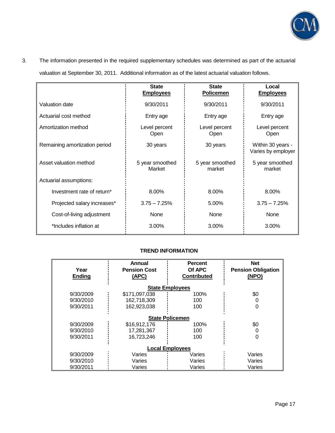

# 3. The information presented in the required supplementary schedules was determined as part of the actuarial

valuation at September 30, 2011. Additional information as of the latest actuarial valuation follows.

|                               | <b>State</b><br><b>Employees</b> | <b>State</b><br><b>Policemen</b> | Local<br><b>Employees</b>               |
|-------------------------------|----------------------------------|----------------------------------|-----------------------------------------|
| Valuation date                | 9/30/2011                        | 9/30/2011                        | 9/30/2011                               |
| Actuarial cost method         | Entry age                        | Entry age                        | Entry age                               |
| Amortization method           | Level percent<br>Open            | Level percent<br>Open            | Level percent<br>Open                   |
| Remaining amortization period | 30 years                         | 30 years                         | Within 30 years -<br>Varies by employer |
| Asset valuation method        | 5 year smoothed<br>Market        | 5 year smoothed<br>market        | 5 year smoothed<br>market               |
| Actuarial assumptions:        |                                  |                                  |                                         |
| Investment rate of return*    | 8.00%                            | 8.00%                            | 8.00%                                   |
| Projected salary increases*   | $3.75 - 7.25%$                   | 5.00%                            | $3.75 - 7.25%$                          |
| Cost-of-living adjustment     | None                             | None                             | None                                    |
| *Includes inflation at        | 3.00%                            | 3.00%                            | 3.00%                                   |

# **TREND INFORMATION**

|                        | Annual              | <b>Percent</b>         | <b>Net</b>                |  |  |  |  |
|------------------------|---------------------|------------------------|---------------------------|--|--|--|--|
| Year                   | <b>Pension Cost</b> | Of APC                 | <b>Pension Obligation</b> |  |  |  |  |
| <b>Ending</b>          | (APC)               | <b>Contributed</b>     | (NPO)                     |  |  |  |  |
|                        |                     |                        |                           |  |  |  |  |
|                        |                     | <b>State Employees</b> |                           |  |  |  |  |
| 9/30/2009              | \$171,097,038       | 100%                   | \$0                       |  |  |  |  |
| 9/30/2010              | 162,718,309         | 100                    |                           |  |  |  |  |
| 9/30/2011              | 162,923,038         | 100                    | 0                         |  |  |  |  |
|                        |                     |                        |                           |  |  |  |  |
|                        |                     | <b>State Policemen</b> |                           |  |  |  |  |
| 9/30/2009              | \$16,912,176        | 100%                   | \$0                       |  |  |  |  |
| 9/30/2010              | 17,281,367          | 100                    |                           |  |  |  |  |
| 9/30/2011              | 16,723,246          | 100                    | 0                         |  |  |  |  |
|                        |                     |                        |                           |  |  |  |  |
| <b>Local Employees</b> |                     |                        |                           |  |  |  |  |
| 9/30/2009              | Varies              | Varies                 | Varies                    |  |  |  |  |
| 9/30/2010              | Varies              | Varies                 | Varies                    |  |  |  |  |
| 9/30/2011              | Varies              | Varies                 | Varies                    |  |  |  |  |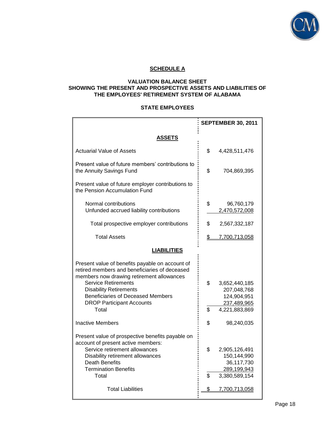

# **SCHEDULE A**

## **VALUATION BALANCE SHEET SHOWING THE PRESENT AND PROSPECTIVE ASSETS AND LIABILITIES OF THE EMPLOYEES' RETIREMENT SYSTEM OF ALABAMA**

## **STATE EMPLOYEES**

|                                                                                                                                                                                                                                                                                              | <b>SEPTEMBER 30, 2011</b> |                                                                            |  |
|----------------------------------------------------------------------------------------------------------------------------------------------------------------------------------------------------------------------------------------------------------------------------------------------|---------------------------|----------------------------------------------------------------------------|--|
| ASSETS                                                                                                                                                                                                                                                                                       |                           |                                                                            |  |
| Actuarial Value of Assets                                                                                                                                                                                                                                                                    | \$                        | 4,428,511,476                                                              |  |
| Present value of future members' contributions to<br>the Annuity Savings Fund                                                                                                                                                                                                                | \$                        | 704,869,395                                                                |  |
| Present value of future employer contributions to<br>the Pension Accumulation Fund                                                                                                                                                                                                           |                           |                                                                            |  |
| Normal contributions<br>Unfunded accrued liability contributions                                                                                                                                                                                                                             | \$                        | 96,760,179<br>2,470,572,008                                                |  |
| Total prospective employer contributions                                                                                                                                                                                                                                                     | \$                        | 2,567,332,187                                                              |  |
| <b>Total Assets</b>                                                                                                                                                                                                                                                                          | \$                        | 7,700,713,058                                                              |  |
| <b>LIABILITIES</b>                                                                                                                                                                                                                                                                           |                           |                                                                            |  |
| Present value of benefits payable on account of<br>retired members and beneficiaries of deceased<br>members now drawing retirement allowances<br><b>Service Retirements</b><br><b>Disability Retirements</b><br><b>Beneficiaries of Deceased Members</b><br><b>DROP Participant Accounts</b> | \$                        | 3,652,440,185<br>207,048,768<br>124,904,951<br>237,489,965                 |  |
| Total                                                                                                                                                                                                                                                                                        | \$                        | 4,221,883,869                                                              |  |
| <b>Inactive Members</b>                                                                                                                                                                                                                                                                      | \$                        | 98,240,035                                                                 |  |
| Present value of prospective benefits payable on<br>account of present active members:                                                                                                                                                                                                       |                           |                                                                            |  |
| Service retirement allowances<br>Disability retirement allowances<br><b>Death Benefits</b><br><b>Termination Benefits</b><br>Total                                                                                                                                                           | \$<br>\$                  | 2,905,126,491<br>150,144,990<br>36,117,730<br>289,199,943<br>3,380,589,154 |  |
| <b>Total Liabilities</b>                                                                                                                                                                                                                                                                     | \$                        | 7,700,713,058                                                              |  |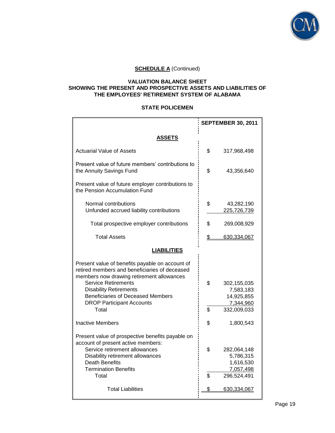

## **VALUATION BALANCE SHEET SHOWING THE PRESENT AND PROSPECTIVE ASSETS AND LIABILITIES OF THE EMPLOYEES' RETIREMENT SYSTEM OF ALABAMA**

## **STATE POLICEMEN**

|                                                                                                                                                                                                                                                                                                       |          | <b>SEPTEMBER 30, 2011</b>                                          |
|-------------------------------------------------------------------------------------------------------------------------------------------------------------------------------------------------------------------------------------------------------------------------------------------------------|----------|--------------------------------------------------------------------|
| <b>ASSETS</b>                                                                                                                                                                                                                                                                                         |          |                                                                    |
| <b>Actuarial Value of Assets</b>                                                                                                                                                                                                                                                                      | \$       | 317,968,498                                                        |
| Present value of future members' contributions to<br>the Annuity Savings Fund                                                                                                                                                                                                                         | \$       | 43,356,640                                                         |
| Present value of future employer contributions to<br>the Pension Accumulation Fund                                                                                                                                                                                                                    |          |                                                                    |
| Normal contributions<br>Unfunded accrued liability contributions                                                                                                                                                                                                                                      | \$       | 43,282,190<br>225,726,739                                          |
| Total prospective employer contributions                                                                                                                                                                                                                                                              | \$       | 269,008,929                                                        |
| <b>Total Assets</b>                                                                                                                                                                                                                                                                                   | \$       | 630,334,067                                                        |
| <b>LIABILITIES</b>                                                                                                                                                                                                                                                                                    |          |                                                                    |
| Present value of benefits payable on account of<br>retired members and beneficiaries of deceased<br>members now drawing retirement allowances<br><b>Service Retirements</b><br><b>Disability Retirements</b><br><b>Beneficiaries of Deceased Members</b><br><b>DROP Participant Accounts</b><br>Total | \$<br>\$ | 302,155,035<br>7,583,183<br>14,925,855<br>7,344,960<br>332,009,033 |
| <b>Inactive Members</b>                                                                                                                                                                                                                                                                               | \$       | 1,800,543                                                          |
| Present value of prospective benefits payable on<br>account of present active members:<br>Service retirement allowances<br>Disability retirement allowances<br><b>Death Benefits</b><br><b>Termination Benefits</b><br>Total                                                                          | \$<br>\$ | 282,064,148<br>5,786,315<br>1,616,530<br>7,057,498<br>296,524,491  |
| <b>Total Liabilities</b>                                                                                                                                                                                                                                                                              | \$       | 630,334,067                                                        |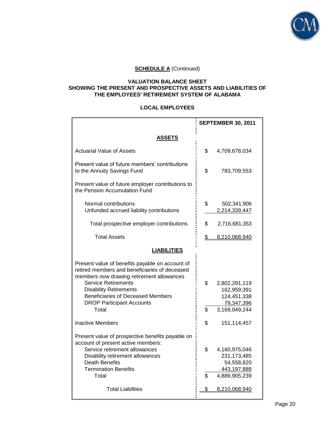

## **VALUATION BALANCE SHEET SHOWING THE PRESENT AND PROSPECTIVE ASSETS AND LIABILITIES OF THE EMPLOYEES' RETIREMENT SYSTEM OF ALABAMA**

## **LOCAL EMPLOYEES**

|                                                                                                                                                                                                                                                                                                       | <b>SEPTEMBER 30, 2011</b> |                                                                              |  |
|-------------------------------------------------------------------------------------------------------------------------------------------------------------------------------------------------------------------------------------------------------------------------------------------------------|---------------------------|------------------------------------------------------------------------------|--|
| <b>ASSETS</b>                                                                                                                                                                                                                                                                                         |                           |                                                                              |  |
| <b>Actuarial Value of Assets</b>                                                                                                                                                                                                                                                                      | \$                        | 4,709,678,034                                                                |  |
| Present value of future members' contributions<br>to the Annuity Savings Fund                                                                                                                                                                                                                         | \$                        | 783,709,553                                                                  |  |
| Present value of future employer contributions to<br>the Pension Accumulation Fund                                                                                                                                                                                                                    |                           |                                                                              |  |
| Normal contributions<br>Unfunded accrued liability contributions                                                                                                                                                                                                                                      | \$                        | 502,341,906<br>2,214,339,447                                                 |  |
| Total prospective employer contributions                                                                                                                                                                                                                                                              | \$                        | 2,716,681,353                                                                |  |
| <b>Total Assets</b>                                                                                                                                                                                                                                                                                   | $\mathbb{S}^-$            | 8,210,068,940                                                                |  |
| <b>LIABILITIES</b>                                                                                                                                                                                                                                                                                    |                           |                                                                              |  |
| Present value of benefits payable on account of<br>retired members and beneficiaries of deceased<br>members now drawing retirement allowances<br><b>Service Retirements</b><br><b>Disability Retirements</b><br><b>Beneficiaries of Deceased Members</b><br><b>DROP Participant Accounts</b><br>Total | \$<br>\$                  | 2,802,291,119<br>162,959,391<br>124,451,338<br>79,347,396<br>3,169,049,244   |  |
| <b>Inactive Members</b>                                                                                                                                                                                                                                                                               | \$                        | 151,114,457                                                                  |  |
| Present value of prospective benefits payable on<br>account of present active members:<br>Service retirement allowances<br>Disability retirement allowances<br><b>Death Benefits</b><br><b>Termination Benefits</b><br>Total                                                                          | \$<br>\$                  | 4,160,975,046<br>231, 173, 485<br>54,558,820<br>443,197,888<br>4,889,905,239 |  |
| <b>Total Liabilities</b>                                                                                                                                                                                                                                                                              | \$                        | 8,210,068,940                                                                |  |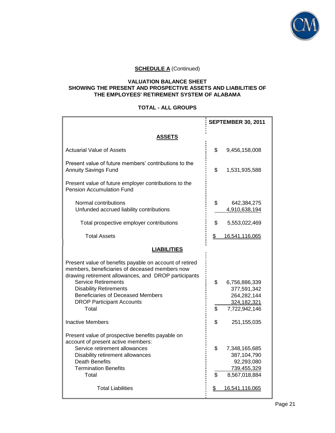

## **VALUATION BALANCE SHEET SHOWING THE PRESENT AND PROSPECTIVE ASSETS AND LIABILITIES OF THE EMPLOYEES' RETIREMENT SYSTEM OF ALABAMA**

## **TOTAL - ALL GROUPS**

|                                                                                                                                                                                                                                                                                                                    | <b>SEPTEMBER 30, 2011</b>                                                                 |  |  |
|--------------------------------------------------------------------------------------------------------------------------------------------------------------------------------------------------------------------------------------------------------------------------------------------------------------------|-------------------------------------------------------------------------------------------|--|--|
| ASSETS                                                                                                                                                                                                                                                                                                             |                                                                                           |  |  |
| <b>Actuarial Value of Assets</b>                                                                                                                                                                                                                                                                                   | \$<br>9,456,158,008                                                                       |  |  |
| Present value of future members' contributions to the<br><b>Annuity Savings Fund</b>                                                                                                                                                                                                                               | \$<br>1,531,935,588                                                                       |  |  |
| Present value of future employer contributions to the<br><b>Pension Accumulation Fund</b>                                                                                                                                                                                                                          |                                                                                           |  |  |
| Normal contributions<br>Unfunded accrued liability contributions                                                                                                                                                                                                                                                   | \$<br>642,384,275<br>4,910,638,194                                                        |  |  |
| Total prospective employer contributions                                                                                                                                                                                                                                                                           | \$<br>5,553,022,469                                                                       |  |  |
| <b>Total Assets</b>                                                                                                                                                                                                                                                                                                | \$<br>16,541,116,065                                                                      |  |  |
| <b>LIABILITIES</b>                                                                                                                                                                                                                                                                                                 |                                                                                           |  |  |
| Present value of benefits payable on account of retired<br>members, beneficiaries of deceased members now<br>drawing retirement allowances, and DROP participants<br><b>Service Retirements</b><br><b>Disability Retirements</b><br>Beneficiaries of Deceased Members<br><b>DROP Participant Accounts</b><br>Total | \$<br>6,756,886,339<br>377,591,342<br>264,282,144<br>324, 182, 321<br>\$<br>7,722,942,146 |  |  |
| <b>Inactive Members</b>                                                                                                                                                                                                                                                                                            | \$<br>251,155,035                                                                         |  |  |
| Present value of prospective benefits payable on<br>account of present active members:<br>Service retirement allowances<br>Disability retirement allowances<br><b>Death Benefits</b><br><b>Termination Benefits</b><br>Total                                                                                       | \$<br>7,348,165,685<br>387,104,790<br>92,293,080<br>739,455,329<br>\$<br>8,567,018,884    |  |  |
| <b>Total Liabilities</b>                                                                                                                                                                                                                                                                                           | 16,541,116,065<br>\$                                                                      |  |  |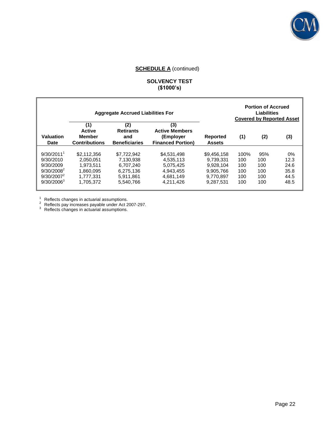

## **SOLVENCY TEST (\$1000's)**

| <b>Aggregate Accrued Liabilities For</b>                                                              |                                                                              |                                                                              |                                                                              | <b>Portion of Accrued</b><br><b>Liabilities</b><br><b>Covered by Reported Asset</b> |                                         |                                        |                                               |
|-------------------------------------------------------------------------------------------------------|------------------------------------------------------------------------------|------------------------------------------------------------------------------|------------------------------------------------------------------------------|-------------------------------------------------------------------------------------|-----------------------------------------|----------------------------------------|-----------------------------------------------|
| Valuation<br><b>Date</b>                                                                              | (1)<br><b>Active</b><br>Member<br><b>Contributions</b>                       | (2)<br><b>Retirants</b><br>and<br><b>Beneficiaries</b>                       | (3)<br><b>Active Members</b><br>(Employer<br><b>Financed Portion)</b>        | <b>Reported</b><br><b>Assets</b>                                                    | (1)                                     | (2)                                    | (3)                                           |
| $9/30/2011$ <sup>1</sup><br>9/30/2010<br>9/30/2009<br>$9/30/2008^2$<br>$9/30/2007^2$<br>$9/30/2006^3$ | \$2.112.356<br>2.050.051<br>1.973.511<br>1.860.095<br>1.777.331<br>1.705.372 | \$7.722.942<br>7.130.938<br>6.707.240<br>6.275.136<br>5.911.861<br>5.540.766 | \$4,531,498<br>4.535.113<br>5.075.425<br>4,943,455<br>4.681.149<br>4,211,426 | \$9,456,158<br>9.739.331<br>9.928.104<br>9.905.766<br>9.770.897<br>9.287.531        | 100%<br>100<br>100<br>100<br>100<br>100 | 95%<br>100<br>100<br>100<br>100<br>100 | $0\%$<br>12.3<br>24.6<br>35.8<br>44.5<br>48.5 |

 $1$  Reflects changes in actuarial assumptions.

П

 $2^2$  Reflects pay increases payable under Act 2007-297.

 $3$  Reflects changes in actuarial assumptions.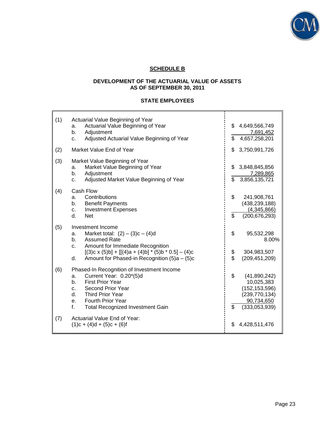

# **SCHEDULE B**

## **DEVELOPMENT OF THE ACTUARIAL VALUE OF ASSETS AS OF SEPTEMBER 30, 2011**

# **STATE EMPLOYEES**

| (1) | Actuarial Value Beginning of Year<br>Actuarial Value Beginning of Year<br>a.<br>Adjustment<br>b.<br>Adjusted Actuarial Value Beginning of Year<br>C.                                                                                                                  | \$                    | \$4,649,566,749<br>7,691,452<br>4,657,258,201                                                   |
|-----|-----------------------------------------------------------------------------------------------------------------------------------------------------------------------------------------------------------------------------------------------------------------------|-----------------------|-------------------------------------------------------------------------------------------------|
| (2) | Market Value End of Year                                                                                                                                                                                                                                              | \$                    | 3,750,991,726                                                                                   |
| (3) | Market Value Beginning of Year<br>Market Value Beginning of Year<br>a.<br>Adjustment<br>b.<br>Adjusted Market Value Beginning of Year<br>c.                                                                                                                           | \$                    | \$3,848,845,856<br>7,289,865<br>3,856,135,721                                                   |
| (4) | Cash Flow<br>Contributions<br>a.<br><b>Benefit Payments</b><br>b.<br><b>Investment Expenses</b><br>c.<br>d.<br><b>Net</b>                                                                                                                                             | \$<br>\$              | 241,908,761<br>(438, 239, 188)<br>(4,345,866)<br>(200, 676, 293)                                |
| (5) | Investment Income<br>Market total: $(2) - (3)c - (4)d$<br>a.<br><b>Assumed Rate</b><br>b.<br>Amount for Immediate Recognition<br>C <sub>1</sub><br>$[(3)c \times (5)b] + [[(4)a + (4)b] * (5)b * 0.5] - (4)c$<br>Amount for Phased-in Recognition $(5)a - (5)c$<br>d. | \$<br>\$<br>$\dot{s}$ | 95,532,298<br>8.00%<br>304,983,507<br>(209, 451, 209)                                           |
| (6) | Phased-In Recognition of Investment Income<br>Current Year: 0.20*(5)d<br>a.<br><b>First Prior Year</b><br>b.<br>Second Prior Year<br>C.<br>Third Prior Year<br>$d_{-}$<br><b>Fourth Prior Year</b><br>e.<br><b>Total Recognized Investment Gain</b><br>f.             | \$<br>\$              | (41,890,242)<br>10,025,383<br>(152, 153, 596)<br>(239, 770, 134)<br>90,734,650<br>(333,053,939) |
| (7) | Actuarial Value End of Year:<br>$(1)c + (4)d + (5)c + (6)f$                                                                                                                                                                                                           | \$                    | 4,428,511,476                                                                                   |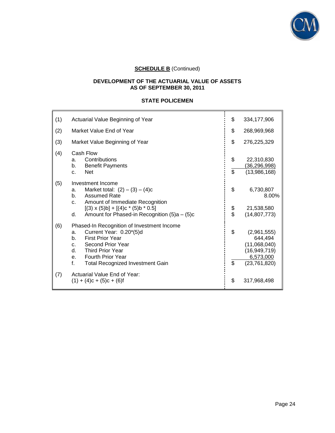

## **DEVELOPMENT OF THE ACTUARIAL VALUE OF ASSETS AS OF SEPTEMBER 30, 2011**

## **STATE POLICEMEN**

| (1) | Actuarial Value Beginning of Year                                                                                                                                                                                                                                            | \$             | 334, 177, 906                                                                       |
|-----|------------------------------------------------------------------------------------------------------------------------------------------------------------------------------------------------------------------------------------------------------------------------------|----------------|-------------------------------------------------------------------------------------|
| (2) | Market Value End of Year                                                                                                                                                                                                                                                     | \$             | 268,969,968                                                                         |
| (3) | Market Value Beginning of Year                                                                                                                                                                                                                                               | \$             | 276,225,329                                                                         |
| (4) | Cash Flow<br>Contributions<br>a.<br><b>Benefit Payments</b><br>b.<br><b>Net</b><br>$C_{\cdot}$                                                                                                                                                                               | \$<br>\$       | 22,310,830<br>(36, 296, 998)<br>(13,986,168)                                        |
| (5) | Investment Income<br>Market total: $(2) - (3) - (4)c$<br>a.<br><b>Assumed Rate</b><br>$h_{-}$<br>Amount of Immediate Recognition<br>C.<br>$[(3) \times (5) \text{b}] + [(4) \text{c} * (5) \text{b} * 0.5]$<br>Amount for Phased-in Recognition (5)a - (5)c<br>d.            | \$<br>\$<br>\$ | 6,730,807<br>8.00%<br>21,538,580<br>(14, 807, 773)                                  |
| (6) | Phased-In Recognition of Investment Income<br>Current Year: 0.20*(5)d<br>a.<br><b>First Prior Year</b><br>b.<br>Second Prior Year<br>C <sub>1</sub><br><b>Third Prior Year</b><br>d.<br><b>Fourth Prior Year</b><br>$e_{i}$<br>f.<br><b>Total Recognized Investment Gain</b> | \$<br>\$       | (2,961,555)<br>644.494<br>(11,068,040)<br>(16,949,719)<br>6,573,000<br>(23,761,820) |
| (7) | Actuarial Value End of Year:<br>$(1) + (4)c + (5)c + (6)f$                                                                                                                                                                                                                   | \$             | 317,968,498                                                                         |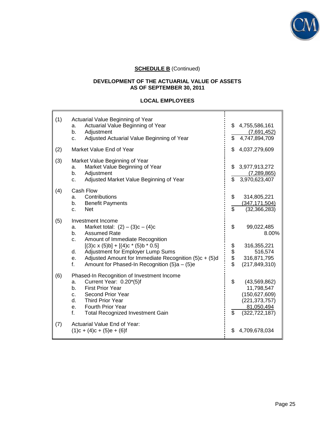

## **DEVELOPMENT OF THE ACTUARIAL VALUE OF ASSETS AS OF SEPTEMBER 30, 2011**

## **LOCAL EMPLOYEES**

| (1) | Actuarial Value Beginning of Year<br>Actuarial Value Beginning of Year<br>a.<br>b.<br>Adjustment<br>Adjusted Actuarial Value Beginning of Year<br>c.                                                                                                                                                                                                        | \$             | \$4,755,586,161<br>(7,691,452)<br>4,747,894,709                                                     |
|-----|-------------------------------------------------------------------------------------------------------------------------------------------------------------------------------------------------------------------------------------------------------------------------------------------------------------------------------------------------------------|----------------|-----------------------------------------------------------------------------------------------------|
| (2) | Market Value End of Year                                                                                                                                                                                                                                                                                                                                    | \$             | 4,037,279,609                                                                                       |
| (3) | Market Value Beginning of Year<br>Market Value Beginning of Year<br>a.<br>Adjustment<br>b.<br>Adjusted Market Value Beginning of Year<br>c.                                                                                                                                                                                                                 | \$             | \$3,977,913,272<br>(7, 289, 865)<br>3,970,623,407                                                   |
| (4) | Cash Flow<br>Contributions<br>a.<br><b>Benefit Payments</b><br>b.<br><b>Net</b><br>C.                                                                                                                                                                                                                                                                       | \$<br>\$       | 314,805,221<br>(347, 171, 504)<br>(32, 366, 283)                                                    |
| (5) | Investment Income<br>Market total: $(2) - (3)c - (4)c$<br>a.<br><b>Assumed Rate</b><br>b.<br>Amount of Immediate Recognition<br>C.<br>$[(3)c \times (5)b] + [(4)c \cdot (5)b \cdot 0.5]$<br>Adjustment for Employer Lump Sums<br>d.<br>Adjusted Amount for Immediate Recognition (5) $c + (5)d$<br>e.<br>Amount for Phased-In Recognition (5)a - (5)e<br>f. | \$<br>\$\$\$\$ | 99,022,485<br>8.00%<br>316,355,221<br>516,574<br>316,871,795<br>(217, 849, 310)                     |
| (6) | Phased-In Recognition of Investment Income<br>Current Year: 0.20*(5)f<br>a.<br><b>First Prior Year</b><br>b.<br>Second Prior Year<br>$C_{-}$<br>d.<br><b>Third Prior Year</b><br><b>Fourth Prior Year</b><br>e.<br>f.<br><b>Total Recognized Investment Gain</b>                                                                                            | \$<br>\$       | (43, 569, 862)<br>11,798,547<br>(150, 627, 609)<br>(221, 373, 757)<br>81,050,494<br>(322, 722, 187) |
| (7) | Actuarial Value End of Year:<br>$(1)c + (4)c + (5)e + (6)f$                                                                                                                                                                                                                                                                                                 | \$             | 4,709,678,034                                                                                       |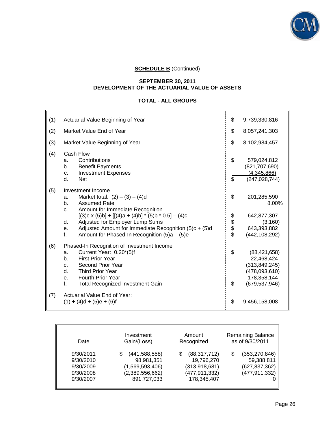

#### **SEPTEMBER 30, 2011 DEVELOPMENT OF THE ACTUARIAL VALUE OF ASSETS**

## **TOTAL - ALL GROUPS**

| (1) | Actuarial Value Beginning of Year                                                                                                                                                                                                                                                                                                                                | \$             | 9,739,330,816                                                                                      |
|-----|------------------------------------------------------------------------------------------------------------------------------------------------------------------------------------------------------------------------------------------------------------------------------------------------------------------------------------------------------------------|----------------|----------------------------------------------------------------------------------------------------|
| (2) | Market Value End of Year                                                                                                                                                                                                                                                                                                                                         | \$             | 8,057,241,303                                                                                      |
| (3) | Market Value Beginning of Year                                                                                                                                                                                                                                                                                                                                   | \$             | 8,102,984,457                                                                                      |
| (4) | Cash Flow<br>Contributions<br>a.<br><b>Benefit Payments</b><br>b.<br><b>Investment Expenses</b><br>C.<br>d.<br><b>Net</b>                                                                                                                                                                                                                                        | \$<br>\$       | 579,024,812<br>(821, 707, 690)<br>(4,345,866)<br>(247, 028, 744)                                   |
| (5) | Investment Income<br>Market total: $(2) - (3) - (4)d$<br>a.<br><b>Assumed Rate</b><br>b.<br>Amount for Immediate Recognition<br>c.<br>$[(3)c \times (5)b] + [[(4)a + (4)b] * (5)b * 0.5] - (4)c$<br>Adjusted for Employer Lump Sums<br>d.<br>Adjusted Amount for Immediate Recognition (5)c + (5)d<br>е.<br>f.<br>Amount for Phased-In Recognition $(5)a - (5)e$ | \$<br>\$\$\$\$ | 201,285,590<br>8.00%<br>642,877,307<br>(3, 160)<br>643,393,882<br>(442, 108, 292)                  |
| (6) | Phased-In Recognition of Investment Income<br>Current Year: 0.20*(5)f<br>a.<br><b>First Prior Year</b><br>b.<br>Second Prior Year<br>C <sub>1</sub><br>d.<br><b>Third Prior Year</b><br><b>Fourth Prior Year</b><br>е.<br>f.<br><b>Total Recognized Investment Gain</b>                                                                                          | \$<br>\$       | (88, 421, 658)<br>22,468,424<br>(313, 849, 245)<br>(478,093,610)<br>178,358,144<br>(679, 537, 946) |
| (7) | Actuarial Value End of Year:<br>$(1) + (4)d + (5)e + (6)f$                                                                                                                                                                                                                                                                                                       | \$             | 9,456,158,008                                                                                      |

| Date                                                          | Investment                                                                         | Amount                                                                               | <b>Remaining Balance</b>                                            |
|---------------------------------------------------------------|------------------------------------------------------------------------------------|--------------------------------------------------------------------------------------|---------------------------------------------------------------------|
|                                                               | Gain/(Loss)                                                                        | Recognized                                                                           | as of 9/30/2011                                                     |
| 9/30/2011<br>9/30/2010<br>9/30/2009<br>9/30/2008<br>9/30/2007 | (441, 588, 558)<br>98,981,351<br>(1,569,593,406)<br>(2,389,556,662)<br>891,727,033 | (88, 317, 712)<br>S<br>19,796,270<br>(313, 918, 681)<br>(477,911,332)<br>178,345,407 | (353, 270, 846)<br>59,388,811<br>(627, 837, 362)<br>(477, 911, 332) |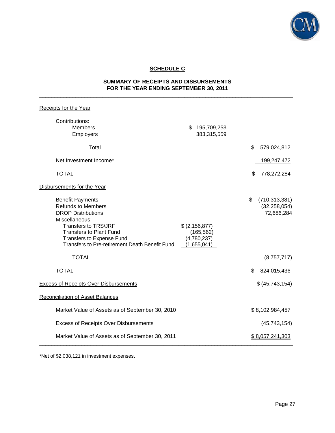

# **SCHEDULE C**

## **SUMMARY OF RECEIPTS AND DISBURSEMENTS FOR THE YEAR ENDING SEPTEMBER 30, 2011**  $\_$  ,  $\_$  ,  $\_$  ,  $\_$  ,  $\_$  ,  $\_$  ,  $\_$  ,  $\_$  ,  $\_$  ,  $\_$  ,  $\_$  ,  $\_$  ,  $\_$  ,  $\_$  ,  $\_$  ,  $\_$  ,  $\_$  ,  $\_$  ,  $\_$  ,  $\_$  ,  $\_$  ,  $\_$  ,  $\_$  ,  $\_$  ,  $\_$  ,  $\_$  ,  $\_$  ,  $\_$  ,  $\_$  ,  $\_$  ,  $\_$  ,  $\_$  ,  $\_$  ,  $\_$  ,  $\_$  ,  $\_$  ,  $\_$  ,

| Receipts for the Year                                                                                                                                                                                                                               |                                                              |                                                       |
|-----------------------------------------------------------------------------------------------------------------------------------------------------------------------------------------------------------------------------------------------------|--------------------------------------------------------------|-------------------------------------------------------|
| Contributions:<br><b>Members</b><br>Employers                                                                                                                                                                                                       | \$<br>195,709,253<br>383,315,559                             |                                                       |
| Total                                                                                                                                                                                                                                               |                                                              | \$<br>579,024,812                                     |
| Net Investment Income*                                                                                                                                                                                                                              |                                                              | 199,247,472                                           |
| <b>TOTAL</b>                                                                                                                                                                                                                                        |                                                              | 778,272,284<br>\$                                     |
| Disbursements for the Year                                                                                                                                                                                                                          |                                                              |                                                       |
| <b>Benefit Payments</b><br><b>Refunds to Members</b><br><b>DROP Distributions</b><br>Miscellaneous:<br><b>Transfers to TRS/JRF</b><br><b>Transfers to Plant Fund</b><br>Transfers to Expense Fund<br>Transfers to Pre-retirement Death Benefit Fund | \$ (2, 156, 877)<br>(165, 562)<br>(4,780,237)<br>(1,655,041) | \$<br>(710, 313, 381)<br>(32, 258, 054)<br>72,686,284 |
| <b>TOTAL</b>                                                                                                                                                                                                                                        |                                                              | (8,757,717)                                           |
| <b>TOTAL</b>                                                                                                                                                                                                                                        |                                                              | 824,015,436<br>\$                                     |
| <b>Excess of Receipts Over Disbursements</b>                                                                                                                                                                                                        |                                                              | \$ (45,743,154)                                       |
| <b>Reconciliation of Asset Balances</b>                                                                                                                                                                                                             |                                                              |                                                       |
| Market Value of Assets as of September 30, 2010                                                                                                                                                                                                     |                                                              | \$8,102,984,457                                       |
| <b>Excess of Receipts Over Disbursements</b>                                                                                                                                                                                                        |                                                              | (45, 743, 154)                                        |
| Market Value of Assets as of September 30, 2011                                                                                                                                                                                                     |                                                              | \$8,057,241,303                                       |

\*Net of \$2,038,121 in investment expenses.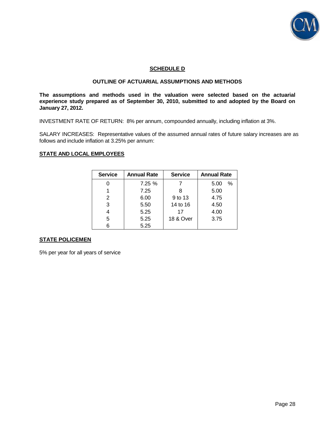

## **SCHEDULE D**

## **OUTLINE OF ACTUARIAL ASSUMPTIONS AND METHODS**

**The assumptions and methods used in the valuation were selected based on the actuarial experience study prepared as of September 30, 2010, submitted to and adopted by the Board on January 27, 2012.** 

INVESTMENT RATE OF RETURN: 8% per annum, compounded annually, including inflation at 3%.

SALARY INCREASES: Representative values of the assumed annual rates of future salary increases are as follows and include inflation at 3.25% per annum:

#### **STATE AND LOCAL EMPLOYEES**

| <b>Service</b> | <b>Annual Rate</b> | <b>Service</b>       | <b>Annual Rate</b> |
|----------------|--------------------|----------------------|--------------------|
|                | 7.25%              |                      | $\%$<br>5.00       |
|                | 7.25               |                      | 5.00               |
| 2              | 6.00               | 9 to 13              | 4.75               |
| 3              | 5.50               | 14 to 16             | 4.50               |
| 4              | 5.25               | 17                   | 4.00               |
| 5              | 5.25               | <b>18 &amp; Over</b> | 3.75               |
| 6              | 5.25               |                      |                    |

## **STATE POLICEMEN**

5% per year for all years of service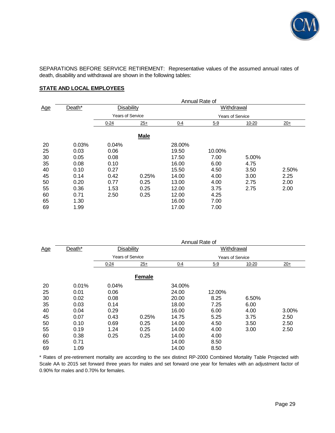

SEPARATIONS BEFORE SERVICE RETIREMENT: Representative values of the assumed annual rates of death, disability and withdrawal are shown in the following tables:

## **STATE AND LOCAL EMPLOYEES**

|            |        | Annual Rate of          |             |         |                         |           |       |
|------------|--------|-------------------------|-------------|---------|-------------------------|-----------|-------|
| <u>Age</u> | Death* |                         | Disability  |         | Withdrawal              |           |       |
|            |        | <b>Years of Service</b> |             |         | <b>Years of Service</b> |           |       |
|            |        | $0 - 24$                | $25+$       | $0 - 4$ | $5 - 9$                 | $10 - 20$ | $20+$ |
|            |        |                         | <b>Male</b> |         |                         |           |       |
| 20         | 0.03%  | 0.04%                   |             | 28.00%  |                         |           |       |
| 25         | 0.03   | 0.06                    |             | 19.50   | 10.00%                  |           |       |
| 30         | 0.05   | 0.08                    |             | 17.50   | 7.00                    | 5.00%     |       |
| 35         | 0.08   | 0.10                    |             | 16.00   | 6.00                    | 4.75      |       |
| 40         | 0.10   | 0.27                    |             | 15.50   | 4.50                    | 3.50      | 2.50% |
| 45         | 0.14   | 0.42                    | 0.25%       | 14.00   | 4.00                    | 3.00      | 2.25  |
| 50         | 0.20   | 0.77                    | 0.25        | 13.00   | 4.00                    | 2.75      | 2.00  |
| 55         | 0.36   | 1.53                    | 0.25        | 12.00   | 3.75                    | 2.75      | 2.00  |
| 60         | 0.71   | 2.50                    | 0.25        | 12.00   | 4.25                    |           |       |
| 65         | 1.30   |                         |             | 16.00   | 7.00                    |           |       |
| 69         | 1.99   |                         |             | 17.00   | 7.00                    |           |       |

|            |        |                         |               |         | Annual Rate of          |           |       |
|------------|--------|-------------------------|---------------|---------|-------------------------|-----------|-------|
| <u>Age</u> | Death* | Disability              |               |         | Withdrawal              |           |       |
|            |        | <b>Years of Service</b> |               |         | <b>Years of Service</b> |           |       |
|            |        | $0 - 24$                | $25+$         | $0 - 4$ | $5 - 9$                 | $10 - 20$ | $20+$ |
|            |        |                         | <b>Female</b> |         |                         |           |       |
| 20         | 0.01%  | 0.04%                   |               | 34.00%  |                         |           |       |
| 25         | 0.01   | 0.06                    |               | 24.00   | 12.00%                  |           |       |
| 30         | 0.02   | 0.08                    |               | 20.00   | 8.25                    | 6.50%     |       |
| 35         | 0.03   | 0.14                    |               | 18.00   | 7.25                    | 6.00      |       |
| 40         | 0.04   | 0.29                    |               | 16.00   | 6.00                    | 4.00      | 3.00% |
| 45         | 0.07   | 0.43                    | 0.25%         | 14.75   | 5.25                    | 3.75      | 2.50  |
| 50         | 0.10   | 0.69                    | 0.25          | 14.00   | 4.50                    | 3.50      | 2.50  |
| 55         | 0.19   | 1.24                    | 0.25          | 14.00   | 4.00                    | 3.00      | 2.50  |
| 60         | 0.38   | 0.25                    | 0.25          | 14.00   | 4.00                    |           |       |
| 65         | 0.71   |                         |               | 14.00   | 8.50                    |           |       |
| 69         | 1.09   |                         |               | 14.00   | 8.50                    |           |       |

\* Rates of pre-retirement mortality are according to the sex distinct RP-2000 Combined Mortality Table Projected with Scale AA to 2015 set forward three years for males and set forward one year for females with an adjustment factor of 0.90% for males and 0.70% for females.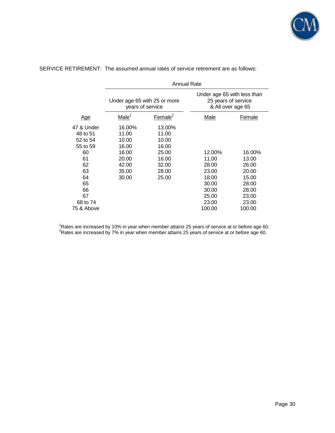

|            | <b>Annual Rate</b>                               |                     |                                                                         |        |  |
|------------|--------------------------------------------------|---------------------|-------------------------------------------------------------------------|--------|--|
|            | Under age 65 with 25 or more<br>years of service |                     | Under age 65 with less than<br>25 years of service<br>& All over age 65 |        |  |
| <u>Age</u> | Male <sup>1</sup>                                | Female <sup>2</sup> | Male                                                                    | Female |  |
| 47 & Under | 16.00%                                           | 13.00%              |                                                                         |        |  |
| 48 to 51   | 11.00                                            | 11.00               |                                                                         |        |  |
| 52 to 54   | 10.00                                            | 10.00               |                                                                         |        |  |
| 55 to 59   | 16.00                                            | 16.00               |                                                                         |        |  |
| 60         | 16.00                                            | 25.00               | 12.00%                                                                  | 16.00% |  |
| 61         | 20.00                                            | 16.00               | 11.00                                                                   | 13.00  |  |
| 62         | 42.00                                            | 32.00               | 28.00                                                                   | 26.00  |  |
| 63         | 35.00                                            | 28.00               | 23.00                                                                   | 20.00  |  |
| 64         | 30.00                                            | 25.00               | 18.00                                                                   | 15.00  |  |
| 65         |                                                  |                     | 30.00                                                                   | 28.00  |  |
| 66         |                                                  |                     | 30.00                                                                   | 28.00  |  |
| 67         |                                                  |                     | 25.00                                                                   | 23.00  |  |
| 68 to 74   |                                                  |                     | 23.00                                                                   | 23.00  |  |
| 75 & Above |                                                  |                     | 100.00                                                                  | 100.00 |  |

SERVICE RETIREMENT: The assumed annual rates of service retirement are as follows:

<sup>1</sup>Rates are increased by 10% in year when member attains 25 years of service at or before age 60.  $2$ Rates are increased by 7% in year when member attains 25 years of service at or before age 60.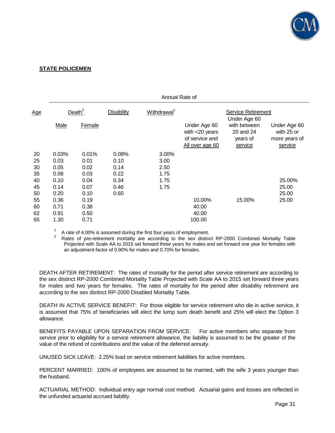

## **STATE POLICEMEN**

|     |           |        |                   | Annual Rate of          |                                                                        |                                                  |                                                        |
|-----|-----------|--------|-------------------|-------------------------|------------------------------------------------------------------------|--------------------------------------------------|--------------------------------------------------------|
| Age | Death $2$ |        | <b>Disability</b> | Withdrawal <sup>1</sup> |                                                                        | <b>Service Retirement</b><br>Under Age 60        |                                                        |
|     | Male      | Female |                   |                         | Under Age 60<br>with $<$ 20 years<br>of service and<br>All over age 60 | with between<br>20 and 24<br>years of<br>service | Under Age 60<br>with 25 or<br>more years of<br>service |
| 20  | 0.03%     | 0.01%  | 0.08%             | 3.00%                   |                                                                        |                                                  |                                                        |
| 25  | 0.03      | 0.01   | 0.10              | 3.00                    |                                                                        |                                                  |                                                        |
| 30  | 0.05      | 0.02   | 0.14              | 2.50                    |                                                                        |                                                  |                                                        |
| 35  | 0.08      | 0.03   | 0.22              | 1.75                    |                                                                        |                                                  |                                                        |
| 40  | 0.10      | 0.04   | 0.34              | 1.75                    |                                                                        |                                                  | 25.00%                                                 |
| 45  | 0.14      | 0.07   | 0.46              | 1.75                    |                                                                        |                                                  | 25.00                                                  |
| 50  | 0.20      | 0.10   | 0.60              |                         |                                                                        |                                                  | 25.00                                                  |
| 55  | 0.36      | 0.19   |                   |                         | 10.00%                                                                 | 15.00%                                           | 25.00                                                  |
| 60  | 0.71      | 0.38   |                   |                         | 40.00                                                                  |                                                  |                                                        |
| 62  | 0.91      | 0.50   |                   |                         | 40.00                                                                  |                                                  |                                                        |
| 65  | 1.30      | 0.71   |                   |                         | 100.00                                                                 |                                                  |                                                        |

1 A rate of 4.00% is assumed during the first four years of employment.

2 Rates of pre-retirement mortality are according to the sex distinct RP-2000 Combined Mortality Table Projected with Scale AA to 2015 set forward three years for males and set forward one year for females with an adjustment factor of 0.90% for males and 0.70% for females.

DEATH AFTER RETIREMENT: The rates of mortality for the period after service retirement are according to the sex distinct RP-2000 Combined Mortality Table Projected with Scale AA to 2015 set forward three years for males and two years for females. The rates of mortality for the period after disability retirement are according to the sex distinct RP-2000 Disabled Mortality Table.

DEATH IN ACTIVE SERVICE BENEFIT: For those eligible for service retirement who die in active service, it is assumed that 75% of beneficiaries will elect the lump sum death benefit and 25% will elect the Option 3 allowance.

BENEFITS PAYABLE UPON SEPARATION FROM SERVICE: For active members who separate from service prior to eligibility for a service retirement allowance, the liability is assumed to be the greater of the value of the refund of contributions and the value of the deferred annuity.

UNUSED SICK LEAVE: 2.25% load on service retirement liabilities for active members.

PERCENT MARRIED: 100% of employees are assumed to be married, with the wife 3 years younger than the husband.

ACTUARIAL METHOD: Individual entry age normal cost method. Actuarial gains and losses are reflected in the unfunded actuarial accrued liability.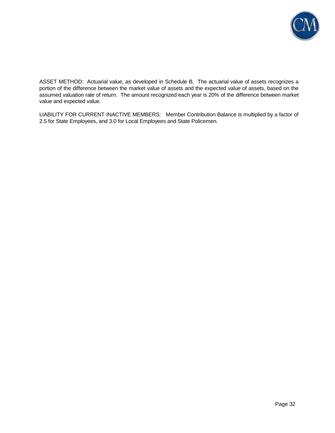

ASSET METHOD: Actuarial value, as developed in Schedule B. The actuarial value of assets recognizes a portion of the difference between the market value of assets and the expected value of assets, based on the assumed valuation rate of return. The amount recognized each year is 20% of the difference between market value and expected value.

LIABILITY FOR CURRENT INACTIVE MEMBERS: Member Contribution Balance is multiplied by a factor of 2.5 for State Employees, and 3.0 for Local Employees and State Policemen.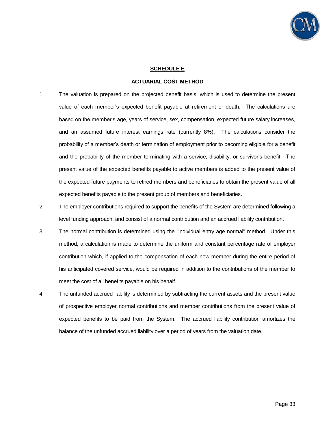

#### **SCHEDULE E**

#### **ACTUARIAL COST METHOD**

- 1. The valuation is prepared on the projected benefit basis, which is used to determine the present value of each member's expected benefit payable at retirement or death. The calculations are based on the member's age, years of service, sex, compensation, expected future salary increases, and an assumed future interest earnings rate (currently 8%). The calculations consider the probability of a member's death or termination of employment prior to becoming eligible for a benefit and the probability of the member terminating with a service, disability, or survivor's benefit. The present value of the expected benefits payable to active members is added to the present value of the expected future payments to retired members and beneficiaries to obtain the present value of all expected benefits payable to the present group of members and beneficiaries.
- 2. The employer contributions required to support the benefits of the System are determined following a level funding approach, and consist of a normal contribution and an accrued liability contribution.
- 3. The normal contribution is determined using the "individual entry age normal" method. Under this method, a calculation is made to determine the uniform and constant percentage rate of employer contribution which, if applied to the compensation of each new member during the entire period of his anticipated covered service, would be required in addition to the contributions of the member to meet the cost of all benefits payable on his behalf.
- 4. The unfunded accrued liability is determined by subtracting the current assets and the present value of prospective employer normal contributions and member contributions from the present value of expected benefits to be paid from the System. The accrued liability contribution amortizes the balance of the unfunded accrued liability over a period of years from the valuation date.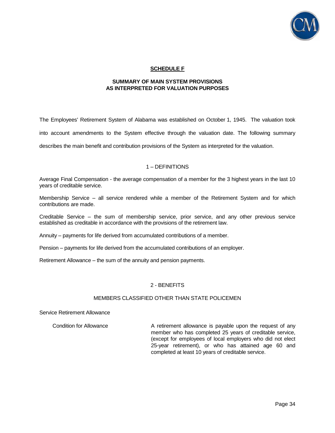

## **SCHEDULE F**

### **SUMMARY OF MAIN SYSTEM PROVISIONS AS INTERPRETED FOR VALUATION PURPOSES**

The Employees' Retirement System of Alabama was established on October 1, 1945. The valuation took into account amendments to the System effective through the valuation date. The following summary describes the main benefit and contribution provisions of the System as interpreted for the valuation.

## 1 – DEFINITIONS

Average Final Compensation - the average compensation of a member for the 3 highest years in the last 10 years of creditable service.

Membership Service – all service rendered while a member of the Retirement System and for which contributions are made.

Creditable Service – the sum of membership service, prior service, and any other previous service established as creditable in accordance with the provisions of the retirement law.

Annuity – payments for life derived from accumulated contributions of a member.

Pension – payments for life derived from the accumulated contributions of an employer.

Retirement Allowance – the sum of the annuity and pension payments.

## 2 - BENEFITS

#### MEMBERS CLASSIFIED OTHER THAN STATE POLICEMEN

#### Service Retirement Allowance

Condition for Allowance **A** retirement allowance is payable upon the request of any member who has completed 25 years of creditable service, (except for employees of local employers who did not elect 25-year retirement), or who has attained age 60 and completed at least 10 years of creditable service.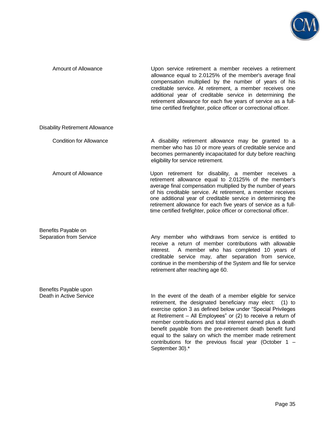

| Amount of Allowance                              | Upon service retirement a member receives a retirement<br>allowance equal to 2.0125% of the member's average final<br>compensation multiplied by the number of years of his<br>creditable service. At retirement, a member receives one<br>additional year of creditable service in determining the<br>retirement allowance for each five years of service as a full-<br>time certified firefighter, police officer or correctional officer.                                                                                        |
|--------------------------------------------------|-------------------------------------------------------------------------------------------------------------------------------------------------------------------------------------------------------------------------------------------------------------------------------------------------------------------------------------------------------------------------------------------------------------------------------------------------------------------------------------------------------------------------------------|
| <b>Disability Retirement Allowance</b>           |                                                                                                                                                                                                                                                                                                                                                                                                                                                                                                                                     |
| <b>Condition for Allowance</b>                   | A disability retirement allowance may be granted to a<br>member who has 10 or more years of creditable service and<br>becomes permanently incapacitated for duty before reaching<br>eligibility for service retirement.                                                                                                                                                                                                                                                                                                             |
| <b>Amount of Allowance</b>                       | Upon retirement for disability, a member receives a<br>retirement allowance equal to 2.0125% of the member's<br>average final compensation multiplied by the number of years<br>of his creditable service. At retirement, a member receives<br>one additional year of creditable service in determining the<br>retirement allowance for each five years of service as a full-<br>time certified firefighter, police officer or correctional officer.                                                                                |
| Benefits Payable on<br>Separation from Service   | Any member who withdraws from service is entitled to<br>receive a return of member contributions with allowable<br>A member who has completed 10 years of<br>interest.<br>creditable service may, after separation from service,<br>continue in the membership of the System and file for service<br>retirement after reaching age 60.                                                                                                                                                                                              |
| Benefits Payable upon<br>Death in Active Service | In the event of the death of a member eligible for service<br>retirement, the designated beneficiary may elect:<br>$(1)$ to<br>exercise option 3 as defined below under "Special Privileges<br>at Retirement – All Employees" or (2) to receive a return of<br>member contributions and total interest earned plus a death<br>benefit payable from the pre-retirement death benefit fund<br>equal to the salary on which the member made retirement<br>contributions for the previous fiscal year (October $1 -$<br>September 30).* |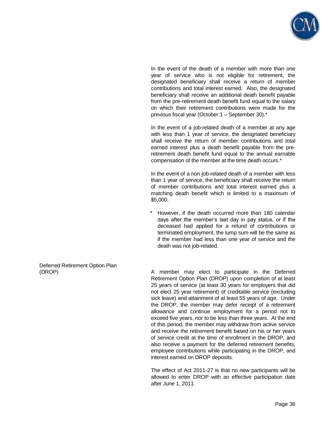

 In the event of the death of a member with more than one year of service who is not eligible for retirement, the designated beneficiary shall receive a return of member contributions and total interest earned. Also, the designated beneficiary shall receive an additional death benefit payable from the pre-retirement death benefit fund equal to the salary on which their retirement contributions were made for the previous fiscal year (October 1 – September 30).\*

 In the event of a job-related death of a member at any age with less than 1 year of service, the designated beneficiary shall receive the return of member contributions and total earned interest plus a death benefit payable from the preretirement death benefit fund equal to the annual earnable compensation of the member at the time death occurs.\*

 In the event of a non job-related death of a member with less than 1 year of service, the beneficiary shall receive the return of member contributions and total interest earned plus a matching death benefit which is limited to a maximum of \$5,000.

However, if the death occurred more than 180 calendar days after the member's last day in pay status, or if the deceased had applied for a refund of contributions or terminated employment, the lump sum will be the same as if the member had less than one year of service and the death was not job-related.

Deferred Retirement Option Plan

(DROP) A member may elect to participate in the Deferred Retirement Option Plan (DROP) upon completion of at least 25 years of service (at least 30 years for employers that did not elect 25 year retirement) of creditable service (excluding sick leave) and attainment of at least 55 years of age. Under the DROP, the member may defer receipt of a retirement allowance and continue employment for a period not to exceed five years, nor to be less than three years. At the end of this period, the member may withdraw from active service and receive the retirement benefit based on his or her years of service credit at the time of enrollment in the DROP, and also receive a payment for the deferred retirement benefits, employee contributions while participating in the DROP, and interest earned on DROP deposits.

> The effect of Act 2011-27 is that no new participants will be allowed to enter DROP with an effective participation date after June 1, 2011.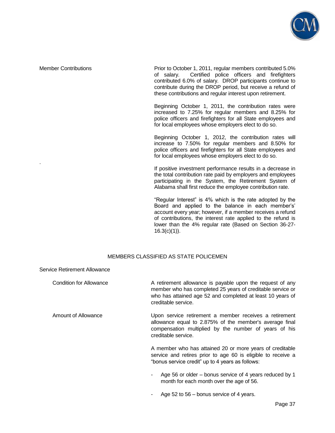

.

Member Contributions **Prior to October 1, 2011, regular members contributed 5.0%** of salary. Certified police officers and firefighters contributed 6.0% of salary. DROP participants continue to contribute during the DROP period, but receive a refund of these contributions and regular interest upon retirement.

> Beginning October 1, 2011, the contribution rates were increased to 7.25% for regular members and 8.25% for police officers and firefighters for all State employees and for local employees whose employers elect to do so.

> Beginning October 1, 2012, the contribution rates will increase to 7.50% for regular members and 8.50% for police officers and firefighters for all State employees and for local employees whose employers elect to do so.

> If positive investment performance results in a decrease in the total contribution rate paid by employers and employees participating in the System, the Retirement System of Alabama shall first reduce the employee contribution rate.

> "Regular Interest" is 4% which is the rate adopted by the Board and applied to the balance in each member's' account every year; however, if a member receives a refund of contributions, the interest rate applied to the refund is lower than the 4% regular rate (Based on Section 36-27-  $16.3(c)(1)$ ).

## MEMBERS CLASSIFIED AS STATE POLICEMEN

| Service Retirement Allowance |                                                                                                                                                                                                              |
|------------------------------|--------------------------------------------------------------------------------------------------------------------------------------------------------------------------------------------------------------|
| Condition for Allowance      | A retirement allowance is payable upon the request of any<br>member who has completed 25 years of creditable service or<br>who has attained age 52 and completed at least 10 years of<br>creditable service. |
| Amount of Allowance          | Upon service retirement a member receives a retirement<br>allowance equal to 2.875% of the member's average final<br>compensation multiplied by the number of years of his<br>creditable service.            |
|                              | A member who has attained 20 or more years of creditable<br>service and retires prior to age 60 is eligible to receive a<br>"bonus service credit" up to 4 years as follows:                                 |
|                              | Age 56 or older – bonus service of 4 years reduced by 1<br>٠<br>month for each month over the age of 56.                                                                                                     |

Age 52 to 56 – bonus service of 4 years.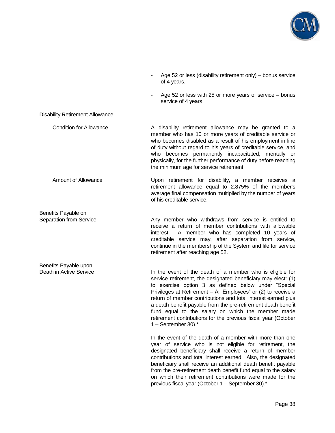

- Age 52 or less (disability retirement only) bonus service of 4 years.
	- Age 52 or less with 25 or more years of service  $-$  bonus service of 4 years.

Disability Retirement Allowance

Benefits Payable on

Benefits Payable upon

Condition for Allowance **A** disability retirement allowance may be granted to a member who has 10 or more years of creditable service or who becomes disabled as a result of his employment in line of duty without regard to his years of creditable service, and who becomes permanently incapacitated, mentally or physically, for the further performance of duty before reaching the minimum age for service retirement.

 Amount of Allowance Upon retirement for disability, a member receives a retirement allowance equal to 2.875% of the member's average final compensation multiplied by the number of years of his creditable service.

Separation from Service **Any member** who withdraws from service is entitled to receive a return of member contributions with allowable interest. A member who has completed 10 years of creditable service may, after separation from service, continue in the membership of the System and file for service retirement after reaching age 52.

Death in Active Service **In the event of the death of a member who is eligible for** service retirement, the designated beneficiary may elect: (1) to exercise option 3 as defined below under "Special Privileges at Retirement – All Employees" or (2) to receive a return of member contributions and total interest earned plus a death benefit payable from the pre-retirement death benefit fund equal to the salary on which the member made retirement contributions for the previous fiscal year (October 1 – September 30).\*

> In the event of the death of a member with more than one year of service who is not eligible for retirement, the designated beneficiary shall receive a return of member contributions and total interest earned. Also, the designated beneficiary shall receive an additional death benefit payable from the pre-retirement death benefit fund equal to the salary on which their retirement contributions were made for the previous fiscal year (October 1 – September 30).\*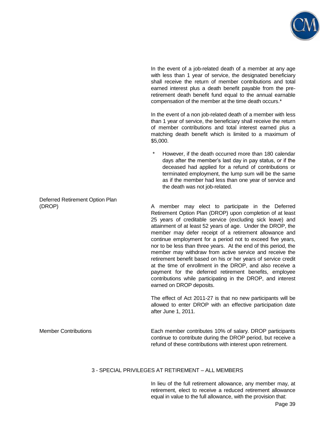

 In the event of a job-related death of a member at any age with less than 1 year of service, the designated beneficiary shall receive the return of member contributions and total earned interest plus a death benefit payable from the preretirement death benefit fund equal to the annual earnable compensation of the member at the time death occurs.\*

 In the event of a non job-related death of a member with less than 1 year of service, the beneficiary shall receive the return of member contributions and total interest earned plus a matching death benefit which is limited to a maximum of \$5,000.

However, if the death occurred more than 180 calendar days after the member's last day in pay status, or if the deceased had applied for a refund of contributions or terminated employment, the lump sum will be the same as if the member had less than one year of service and the death was not job-related.

(DROP) A member may elect to participate in the Deferred Retirement Option Plan (DROP) upon completion of at least 25 years of creditable service (excluding sick leave) and attainment of at least 52 years of age. Under the DROP, the member may defer receipt of a retirement allowance and continue employment for a period not to exceed five years, nor to be less than three years. At the end of this period, the member may withdraw from active service and receive the retirement benefit based on his or her years of service credit at the time of enrollment in the DROP, and also receive a payment for the deferred retirement benefits, employee contributions while participating in the DROP, and interest earned on DROP deposits.

> The effect of Act 2011-27 is that no new participants will be allowed to enter DROP with an effective participation date after June 1, 2011.

Member Contributions Each member contributes 10% of salary. DROP participants continue to contribute during the DROP period, but receive a refund of these contributions with interest upon retirement.

## 3 - SPECIAL PRIVILEGES AT RETIREMENT – ALL MEMBERS

 In lieu of the full retirement allowance, any member may, at retirement, elect to receive a reduced retirement allowance equal in value to the full allowance, with the provision that:

Deferred Retirement Option Plan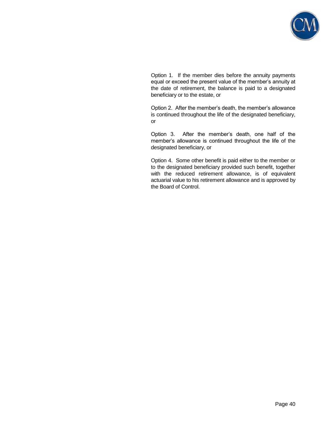

 Option 1. If the member dies before the annuity payments equal or exceed the present value of the member's annuity at the date of retirement, the balance is paid to a designated beneficiary or to the estate, or

 Option 2. After the member's death, the member's allowance is continued throughout the life of the designated beneficiary, or

 Option 3. After the member's death, one half of the member's allowance is continued throughout the life of the designated beneficiary, or

 Option 4. Some other benefit is paid either to the member or to the designated beneficiary provided such benefit, together with the reduced retirement allowance, is of equivalent actuarial value to his retirement allowance and is approved by the Board of Control.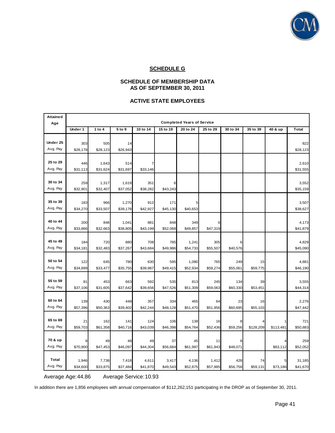

## **SCHEDULE G**

## **SCHEDULE OF MEMBERSHIP DATA AS OF SEPTEMBER 30, 2011**

## **ACTIVE STATE EMPLOYEES**

| <b>Attained</b><br>Age | <b>Completed Years of Service</b> |                   |                   |                 |                |                |                |          |           |           |                   |
|------------------------|-----------------------------------|-------------------|-------------------|-----------------|----------------|----------------|----------------|----------|-----------|-----------|-------------------|
|                        | Under 1                           | 1 to 4            | 5 to 9            | 10 to 14        | 15 to 19       | 20 to 24       | 25 to 29       | 30 to 34 | 35 to 39  | 40 & up   | <b>Total</b>      |
| Under 25               | 303                               | 505               | 14                |                 |                |                |                |          |           |           | 822               |
| Avg. Pay               | \$28,178                          | \$28,123          | \$26,943          |                 |                |                |                |          |           |           | \$28,123          |
|                        |                                   |                   |                   |                 |                |                |                |          |           |           |                   |
| 25 to 29               | 446                               | 1,643             | 514               |                 |                |                |                |          |           |           | 2,610             |
| Avg. Pay               | \$31,113                          | \$31,624          | \$31,697          | \$33,146        |                |                |                |          |           |           | \$31,555          |
| 30 to 34               |                                   |                   |                   |                 |                |                |                |          |           |           |                   |
| Avg. Pay               | 259<br>\$32,901                   | 1,317<br>\$32,407 | 1,619<br>\$37,052 | 351<br>\$38,282 | \$43,243       |                |                |          |           |           | 3,552<br>\$35,159 |
|                        |                                   |                   |                   |                 |                |                |                |          |           |           |                   |
| 35 to 39               | 183                               | 966               | 1,270             | 912             | 171            | 5              |                |          |           |           | 3,507             |
| Avg. Pay               | \$34,270                          | \$33,507          | \$39,178          | \$42,927        | \$45,130       | \$40,653       |                |          |           |           | \$38,627          |
|                        |                                   |                   |                   |                 |                |                |                |          |           |           |                   |
| 40 to 44               | 200                               | 848               | 1,041             | 881             | 848            | 349            | 6              |          |           |           | 4,173             |
| Avg. Pay               | \$33,866                          | \$32,663          | \$38,805          | \$43,199        | \$52,068       | \$49,857       | \$47,319       |          |           |           | \$41,879          |
| 45 to 49               | 184                               | 720               | 880               | 708             | 785            | 1,241          | 305            |          |           |           | 4,829             |
| Avg. Pay               | \$34,181                          | \$32,483          | \$37,267          | \$43,684        | \$49,986       | \$54,733       | \$55,507       | \$40,576 |           |           | \$45,090          |
|                        |                                   |                   |                   |                 |                |                |                |          |           |           |                   |
| 50 to 54               | 122                               | 645               | 780               | 630             | 595            | 1,080          | 765            | 249      | 15        |           | 4,881             |
| Avg. Pay               | \$34,899                          | \$33,477          | \$35,755          | \$39,987        | \$49,415       | \$52,934       | \$59,274       | \$55,061 | \$59,775  |           | \$46,190          |
|                        |                                   |                   |                   |                 |                |                |                |          |           |           |                   |
| 55 to 59<br>Avg. Pay   | 81                                | 453               | 663               | 592             | 535            | 813            | 245            | 134      | 39        |           | 3,555             |
|                        | \$37,106                          | \$31,605          | \$37,642          | \$39,656        | \$47,526       | \$51,309       | \$59,063       | \$60,330 | \$53,451  |           | \$44,314          |
| 60 to 64               | 139                               | 430               | 448               | 357             | 334            | 465            | 64             | 23       | 16        |           | 2,276             |
| Avg. Pay               | \$57,396                          | \$50,363          | \$39,402          | \$42,244        | \$48,128       | \$51,470       | \$51,956       | \$60,695 | \$55,103  |           | \$47,442          |
|                        |                                   |                   |                   |                 |                |                |                |          |           |           |                   |
| 65 to 69               | 21                                | 162               | 141               | 124             | 106            | 138            | 16             |          |           |           | 721               |
| Avg. Pay               | \$59,703                          | \$61,358          | \$40,716          | \$43,039        | \$46,398       | \$54,764       | \$52,436       | \$59,256 | \$128,209 | \$113,481 | \$50,883          |
| 70 & up                |                                   |                   |                   |                 |                |                |                |          |           |           |                   |
| Avg. Pay               | 8<br>\$70,900                     | 49<br>\$47,453    | 48<br>\$46,097    | 49<br>\$44,304  | 37<br>\$56,684 | 45<br>\$61,997 | 11<br>\$61,943 | \$48,071 |           | \$63,112  | 259<br>\$52,052   |
|                        |                                   |                   |                   |                 |                |                |                |          |           |           |                   |
| Total                  | 1,946                             | 7,738             | 7,418             | 4,611           | 3,417          | 4,136          | 1,412          | 428      | 74        |           | 31,185            |
| Avg. Pay               | \$34,600                          | \$33,875          | \$37,484          | \$41,870        | \$49,543       | \$52,875       | \$57,985       | \$56,758 | \$59,131  | \$73,186  | \$41,670          |

Average Age: 44.86 Average Service: 10.93

In addition there are 1,856 employees with annual compensation of \$112,262,151 participating in the DROP as of September 30, 2011.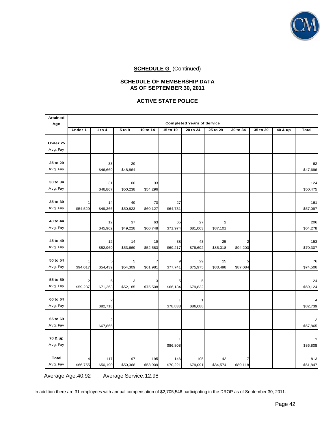

## **SCHEDULE OF MEMBERSHIP DATA AS OF SEPTEMBER 30, 2011**

## **ACTIVE STATE POLICE**

| <b>Attained</b><br>Age   | <b>Completed Years of Service</b>   |                 |                 |                 |                 |                 |                            |               |          |         |                 |
|--------------------------|-------------------------------------|-----------------|-----------------|-----------------|-----------------|-----------------|----------------------------|---------------|----------|---------|-----------------|
|                          | Under 1                             | 1 to 4          | 5 to 9          | 10 to 14        | 15 to 19        | 20 to 24        | 25 to 29                   | 30 to 34      | 35 to 39 | 40 & up | <b>Total</b>    |
| Under 25<br>Avg. Pay     |                                     |                 |                 |                 |                 |                 |                            |               |          |         |                 |
| 25 to 29<br>Avg. Pay     |                                     | 33<br>\$46,669  | 29<br>\$48,864  |                 |                 |                 |                            |               |          |         | 62<br>\$47,696  |
| 30 to 34<br>Avg. Pay     |                                     | 31<br>\$46,867  | 60<br>\$50,238  | 33<br>\$54,296  |                 |                 |                            |               |          |         | 124<br>\$50,475 |
| 35 to 39<br>Avg. Pay     | \$54,529                            | 14<br>\$49,366  | 49<br>\$50,823  | 70<br>\$60,127  | 27<br>\$64,731  |                 |                            |               |          |         | 161<br>\$57,097 |
| 40 to 44<br>Avg. Pay     |                                     | 12<br>\$45,962  | 37<br>\$49,228  | 63<br>\$60,748  | 65<br>\$71,974  | 27<br>\$81,063  | $\overline{2}$<br>\$87,101 |               |          |         | 206<br>\$64,278 |
| 45 to 49<br>Avg. Pay     |                                     | 12<br>\$52,969  | 14<br>\$53,669  | 19<br>\$52,583  | 38<br>\$69,217  | 43<br>\$79,692  | 25<br>\$85,018             | 2<br>\$94,203 |          |         | 153<br>\$70,307 |
| 50 to 54<br>Avg. Pay     | \$94,017                            | 5<br>\$54,439   | 5<br>\$54,309   | 7<br>\$61,981   | 9<br>\$77,741   | 29<br>\$75,975  | 15<br>\$83,498             | 5<br>\$87,084 |          |         | 76<br>\$74,506  |
| 55 to 59<br>Avg. Pay     | $\overline{\mathbf{c}}$<br>\$59,237 | 6<br>\$71,263   | 3<br>\$52,185   | з<br>\$75,508   | 5<br>\$66,134   | 5<br>\$79,832   |                            |               |          |         | 24<br>\$69,124  |
| 60 to 64<br>Avg. Pay     |                                     | \$82,718        |                 |                 | \$78,833        | \$86,688        |                            |               |          |         | \$82,739        |
| 65 to 69<br>Avg. Pay     |                                     | 2<br>\$67,865   |                 |                 |                 |                 |                            |               |          |         | \$67,865        |
| 70 & up<br>Avg. Pay      |                                     |                 |                 |                 | \$86,808        |                 |                            |               |          |         | \$86,808        |
| <b>Total</b><br>Avg. Pay | 4<br>\$66,755                       | 117<br>\$50,190 | 197<br>\$50,368 | 195<br>\$58,909 | 146<br>\$70,221 | 105<br>\$79,091 | 42<br>\$84,574             | 7<br>\$89,118 |          |         | 813<br>\$61,847 |

Average Age: 40.92 Average Service: 12.98

In addition there are 31 employees with annual compensation of \$2,705,546 participating in the DROP as of September 30, 2011.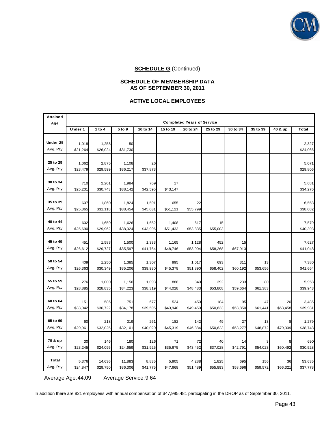

## **SCHEDULE OF MEMBERSHIP DATA AS OF SEPTEMBER 30, 2011**

## **ACTIVE LOCAL EMPLOYEES**

| <b>Attained</b><br>Age   | <b>Completed Years of Service</b> |                   |                   |                   |                 |                   |                 |                 |                |          |                   |
|--------------------------|-----------------------------------|-------------------|-------------------|-------------------|-----------------|-------------------|-----------------|-----------------|----------------|----------|-------------------|
|                          | Under 1                           | 1 to $4$          | 5 to 9            | 10 to 14          | 15 to 19        | 20 to 24          | 25 to 29        | 30 to 34        | 35 to 39       | 40 & up  | <b>Total</b>      |
| Under 25                 |                                   |                   |                   |                   |                 |                   |                 |                 |                |          |                   |
| Avg. Pay                 | 1,018<br>\$21,264                 | 1,258<br>\$26,024 | 50<br>\$31,730    |                   |                 |                   |                 |                 |                |          | 2,327<br>\$24,066 |
|                          |                                   |                   |                   |                   |                 |                   |                 |                 |                |          |                   |
| 25 to 29                 | 1,062                             | 2,875             | 1,108             | 26                |                 |                   |                 |                 |                |          | 5,071             |
| Avg. Pay                 | \$23,479                          | \$29,599          | \$36,217          | \$37,873          |                 |                   |                 |                 |                |          | \$29,806          |
|                          |                                   |                   |                   |                   |                 |                   |                 |                 |                |          |                   |
| 30 to 34                 | 710                               | 2,201             | 1,984             | 769               | 17              |                   |                 |                 |                |          | 5,681             |
| Avg. Pay                 | \$25,201                          | \$30,743          | \$38,142          | \$42,595          | \$43,147        |                   |                 |                 |                |          | \$34,276          |
|                          |                                   |                   |                   |                   |                 |                   |                 |                 |                |          |                   |
| 35 to 39                 | 607                               | 1,860             | 1,824             | 1,591             | 655             | 22                |                 |                 |                |          | 6,558             |
| Avg. Pay                 | \$25,365                          | \$31,118          | \$38,454          | \$45,031          | \$51,121        | \$55,799          |                 |                 |                |          | \$38,082          |
|                          |                                   |                   |                   |                   |                 |                   |                 |                 |                |          |                   |
| 40 to 44                 | 602                               | 1,659             | 1,626             | 1,652             | 1,408           | 617               | 15              |                 |                |          | 7,579             |
| Avg. Pay                 | \$25,690                          | \$29,962          | \$38,024          | \$43,996          | \$51,433        | \$53,835          | \$55,003        |                 |                |          | \$40,393          |
|                          |                                   |                   |                   |                   |                 |                   |                 |                 |                |          |                   |
| 45 to 49                 | 451                               | 1,583             | 1,500             | 1,333             | 1,165           | 1,128             | 452             | 15              |                |          | 7,627             |
| Avg. Pay                 | \$26,612                          | \$29,727          | \$35,597          | \$41,764          | \$48,746        | \$53,904          | \$58,268        | \$67,913        |                |          | \$41,048          |
| 50 to 54                 |                                   |                   |                   |                   |                 |                   |                 |                 |                |          |                   |
| Avg. Pay                 | 409<br>\$26,363                   | 1,250<br>\$30,349 | 1,385<br>\$35,206 | 1,307<br>\$39,930 | 995<br>\$45,378 | 1,017<br>\$51,890 | 693<br>\$58,402 | 311<br>\$60,192 | 13<br>\$53,656 |          | 7,380<br>\$41,664 |
|                          |                                   |                   |                   |                   |                 |                   |                 |                 |                |          |                   |
| 55 to 59                 | 276                               | 1,000             | 1,156             | 1,093             | 888             | 840               | 392             | 233             | 80             |          | 5,958             |
| Avg. Pay                 | \$28,885                          | \$28,835          | \$34,223          | \$38,319          | \$44,028        | \$48,483          | \$53,808        | \$59,664        | \$61,383       |          | \$39,943          |
|                          |                                   |                   |                   |                   |                 |                   |                 |                 |                |          |                   |
| 60 to 64                 | 151                               | 586               | 751               | 677               | 524             | 450               | 184             | 95              | 47             | 20       | 3,485             |
| Avg. Pay                 | \$33,042                          | \$30,722          | \$34,178          | \$39,595          | \$43,940        | \$49,450          | \$50,633        | \$53,850        | \$61,441       | \$63,458 | \$39,981          |
|                          |                                   |                   |                   |                   |                 |                   |                 |                 |                |          |                   |
| 65 to 69                 | 60                                | 218               | 319               | 261               | 182             | 142               | 49              | 27              | 13             |          | 1,279             |
| Avg. Pay                 | \$29,961                          | \$32,025          | \$32,101          | \$40,020          | \$45,319        | \$46,884          | \$50,623        | \$53,277        | \$48,872       | \$79,309 | \$38,748          |
|                          |                                   |                   |                   |                   |                 |                   |                 |                 |                |          |                   |
| 70 & up                  | 30                                | 146               | 180               | 126               | 71              | 72                | 40              | 14              |                |          | 690               |
| Avg. Pay                 | \$23,245                          | \$24,095          | \$24,659          | \$31,925          | \$35,675        | \$43,452          | \$37,028        | \$42,791        | \$54,023       | \$60,492 | \$30,528          |
|                          |                                   |                   |                   |                   |                 |                   |                 |                 |                |          |                   |
| <b>Total</b><br>Avg. Pay | 5,376                             | 14,636            | 11,883            | 8,835             | 5,905           | 4,288             | 1,825           | 695             | 156            | 36       | 53,635            |
|                          | \$24,847                          | \$29,750          | \$36,306          | \$41,775          | \$47,668        | \$51,489          | \$55,893        | \$58,696        | \$59,572       | \$66,321 | \$37,778          |

Average Age: 44.09 Average Service: 9.64

In addition there are 821 employees with annual compensation of \$47,995,481 participating in the DROP as of September 30, 2011.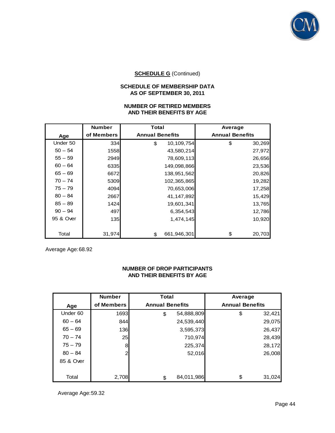

## **SCHEDULE OF MEMBERSHIP DATA AS OF SEPTEMBER 30, 2011**

## **NUMBER OF RETIRED MEMBERS AND THEIR BENEFITS BY AGE**

|           | <b>Number</b> | <b>Total</b>           | Average                |
|-----------|---------------|------------------------|------------------------|
| Age       | of Members    | <b>Annual Benefits</b> | <b>Annual Benefits</b> |
| Under 50  | 334           | 10,109,754<br>\$       | \$<br>30,269           |
| $50 - 54$ | 1558          | 43,580,214             | 27,972                 |
| $55 - 59$ | 2949          | 78,609,113             | 26,656                 |
| $60 - 64$ | 6335          | 149,098,866            | 23,536                 |
| $65 - 69$ | 6672          | 138,951,562            | 20,826                 |
| $70 - 74$ | 5309          | 102,365,865            | 19,282                 |
| $75 - 79$ | 4094          | 70,653,006             | 17,258                 |
| $80 - 84$ | 2667          | 41,147,892             | 15,429                 |
| $85 - 89$ | 1424          | 19,601,341             | 13,765                 |
| $90 - 94$ | 497           | 6,354,543              | 12,786                 |
| 95 & Over | 135           | 1,474,145              | 10,920                 |
|           |               |                        |                        |
| Total     | 31,974        | 661,946,301<br>\$      | \$<br>20,703           |

Average Age: 68.92

## **NUMBER OF DROP PARTICIPANTS AND THEIR BENEFITS BY AGE**

|           | <b>Number</b>  | <b>Total</b>           | Average                |
|-----------|----------------|------------------------|------------------------|
| Age       | of Members     | <b>Annual Benefits</b> | <b>Annual Benefits</b> |
| Under 60  | 1693           | 54,888,809<br>\$       | \$<br>32,421           |
| $60 - 64$ | 844            | 24,539,440             | 29,075                 |
| $65 - 69$ | 136            | 3,595,373              | 26,437                 |
| $70 - 74$ | 25             | 710,974                | 28,439                 |
| $75 - 79$ | 8              | 225,374                | 28,172                 |
| $80 - 84$ | $\overline{2}$ |                        | 26,008<br>52,016       |
| 85 & Over |                |                        |                        |
|           |                |                        |                        |
| Total     | 2,708          | 84,011,986<br>\$       | \$<br>31,024           |

Average Age: 59.32